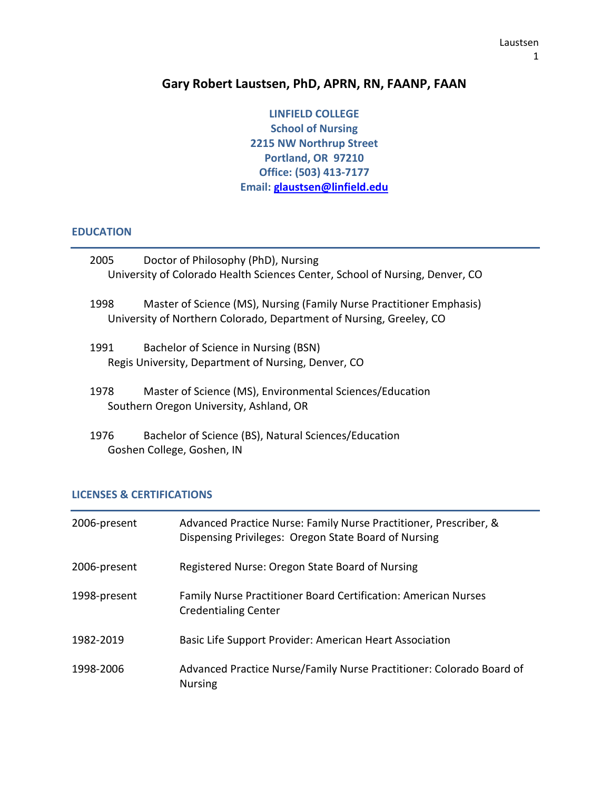# **Gary Robert Laustsen, PhD, APRN, RN, FAANP, FAAN**

**LINFIELD COLLEGE School of Nursing 2215 NW Northrup Street Portland, OR 97210 Office: (503) 413-7177 Email: glaustsen@linfield.edu**

#### **EDUCATION**

| 2005 | Doctor of Philosophy (PhD), Nursing<br>University of Colorado Health Sciences Center, School of Nursing, Denver, CO                         |
|------|---------------------------------------------------------------------------------------------------------------------------------------------|
| 1998 | Master of Science (MS), Nursing (Family Nurse Practitioner Emphasis)<br>University of Northern Colorado, Department of Nursing, Greeley, CO |
| 1991 | Bachelor of Science in Nursing (BSN)<br>Regis University, Department of Nursing, Denver, CO                                                 |
| 1978 | Master of Science (MS), Environmental Sciences/Education<br>Southern Oregon University, Ashland, OR                                         |
| 1976 | Bachelor of Science (BS), Natural Sciences/Education<br>Goshen College, Goshen, IN                                                          |

# **LICENSES & CERTIFICATIONS**

| 2006-present | Advanced Practice Nurse: Family Nurse Practitioner, Prescriber, &<br>Dispensing Privileges: Oregon State Board of Nursing |
|--------------|---------------------------------------------------------------------------------------------------------------------------|
| 2006-present | Registered Nurse: Oregon State Board of Nursing                                                                           |
| 1998-present | <b>Family Nurse Practitioner Board Certification: American Nurses</b><br><b>Credentialing Center</b>                      |
| 1982-2019    | Basic Life Support Provider: American Heart Association                                                                   |
| 1998-2006    | Advanced Practice Nurse/Family Nurse Practitioner: Colorado Board of<br><b>Nursing</b>                                    |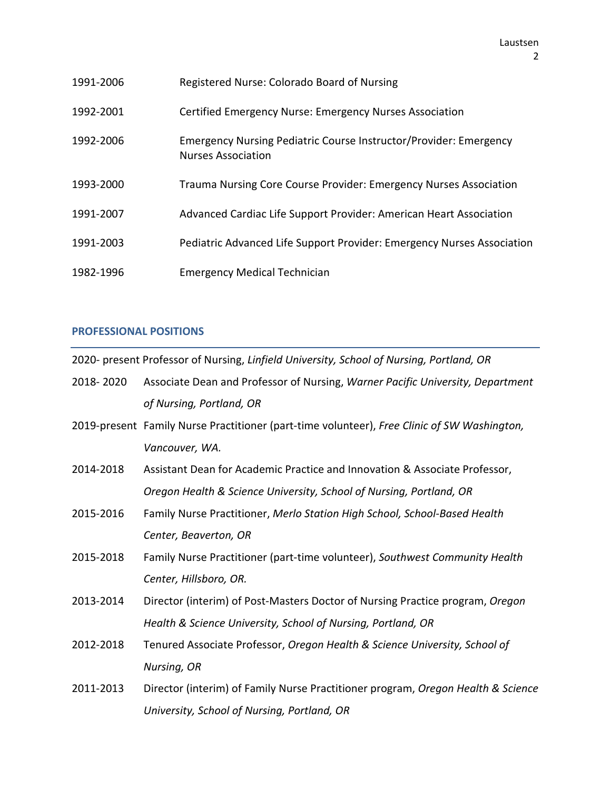| 1991-2006 | Registered Nurse: Colorado Board of Nursing                                                           |
|-----------|-------------------------------------------------------------------------------------------------------|
| 1992-2001 | Certified Emergency Nurse: Emergency Nurses Association                                               |
| 1992-2006 | <b>Emergency Nursing Pediatric Course Instructor/Provider: Emergency</b><br><b>Nurses Association</b> |
| 1993-2000 | Trauma Nursing Core Course Provider: Emergency Nurses Association                                     |
| 1991-2007 | Advanced Cardiac Life Support Provider: American Heart Association                                    |
| 1991-2003 | Pediatric Advanced Life Support Provider: Emergency Nurses Association                                |
| 1982-1996 | <b>Emergency Medical Technician</b>                                                                   |

### **PROFESSIONAL POSITIONS**

2020- present Professor of Nursing, *Linfield University, School of Nursing, Portland, OR*

| 2018-2020 | Associate Dean and Professor of Nursing, Warner Pacific University, Department |
|-----------|--------------------------------------------------------------------------------|
|           | of Nursing, Portland, OR                                                       |

- 2019-present Family Nurse Practitioner (part-time volunteer), *Free Clinic of SW Washington, Vancouver, WA.*
- 2014-2018 Assistant Dean for Academic Practice and Innovation & Associate Professor, *Oregon Health & Science University, School of Nursing, Portland, OR*
- 2015-2016 Family Nurse Practitioner, *Merlo Station High School, School-Based Health Center, Beaverton, OR*
- 2015-2018 Family Nurse Practitioner (part-time volunteer), *Southwest Community Health Center, Hillsboro, OR.*
- 2013-2014 Director (interim) of Post-Masters Doctor of Nursing Practice program, *Oregon Health & Science University, School of Nursing, Portland, OR*
- 2012-2018 Tenured Associate Professor, *Oregon Health & Science University, School of Nursing, OR*
- 2011-2013 Director (interim) of Family Nurse Practitioner program, *Oregon Health & Science University, School of Nursing, Portland, OR*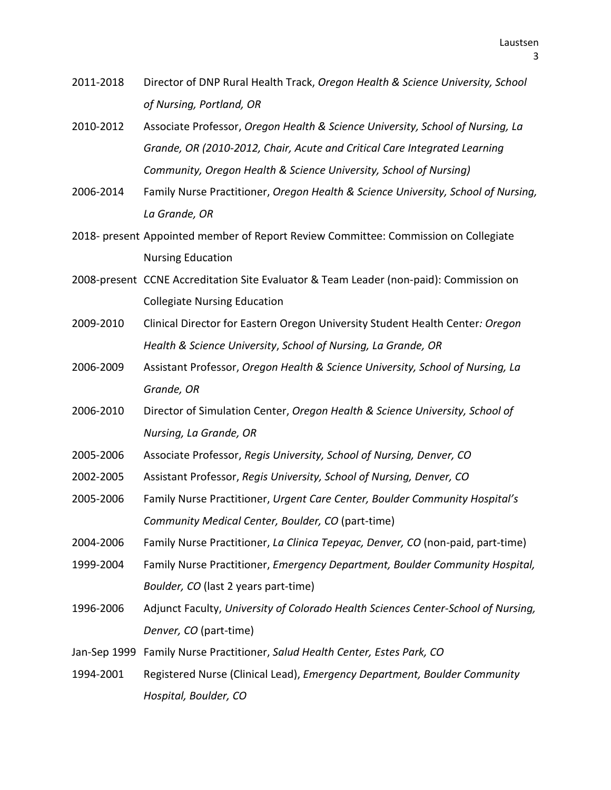- 2011-2018 Director of DNP Rural Health Track, *Oregon Health & Science University, School of Nursing, Portland, OR*
- 2010-2012 Associate Professor, *Oregon Health & Science University, School of Nursing, La Grande, OR (2010-2012, Chair, Acute and Critical Care Integrated Learning Community, Oregon Health & Science University, School of Nursing)*
- 2006-2014 Family Nurse Practitioner, *Oregon Health & Science University, School of Nursing, La Grande, OR*
- 2018- present Appointed member of Report Review Committee: Commission on Collegiate Nursing Education
- 2008-present CCNE Accreditation Site Evaluator & Team Leader (non-paid): Commission on Collegiate Nursing Education
- 2009-2010 Clinical Director for Eastern Oregon University Student Health Center*: Oregon Health & Science University*, *School of Nursing, La Grande, OR*
- 2006-2009 Assistant Professor, *Oregon Health & Science University, School of Nursing, La Grande, OR*
- 2006-2010 Director of Simulation Center, *Oregon Health & Science University, School of Nursing, La Grande, OR*
- 2005-2006 Associate Professor, *Regis University, School of Nursing, Denver, CO*
- 2002-2005 Assistant Professor, *Regis University, School of Nursing, Denver, CO*
- 2005-2006 Family Nurse Practitioner, *Urgent Care Center, Boulder Community Hospital's Community Medical Center, Boulder, CO* (part-time)
- 2004-2006 Family Nurse Practitioner, *La Clinica Tepeyac, Denver, CO* (non-paid, part-time)
- 1999-2004 Family Nurse Practitioner, *Emergency Department, Boulder Community Hospital, Boulder, CO* (last 2 years part-time)
- 1996-2006 Adjunct Faculty, *University of Colorado Health Sciences Center-School of Nursing, Denver, CO* (part-time)
- Jan-Sep 1999 Family Nurse Practitioner, *Salud Health Center, Estes Park, CO*
- 1994-2001 Registered Nurse (Clinical Lead), *Emergency Department, Boulder Community Hospital, Boulder, CO*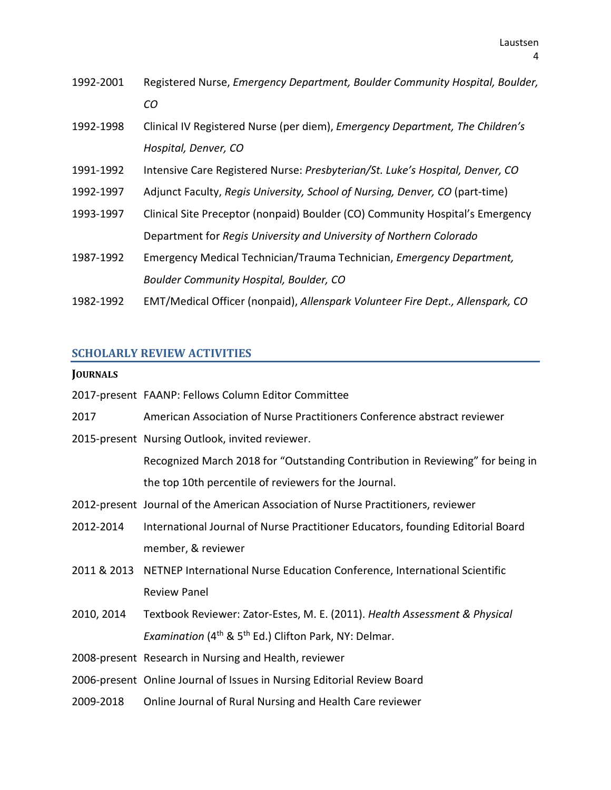- 1992-2001 Registered Nurse, *Emergency Department, Boulder Community Hospital, Boulder, CO*
- 1992-1998 Clinical IV Registered Nurse (per diem), *Emergency Department, The Children's Hospital, Denver, CO*
- 1991-1992 Intensive Care Registered Nurse: *Presbyterian/St. Luke's Hospital, Denver, CO*
- 1992-1997 Adjunct Faculty, *Regis University, School of Nursing, Denver, CO* (part-time)
- 1993-1997 Clinical Site Preceptor (nonpaid) Boulder (CO) Community Hospital's Emergency Department for *Regis University and University of Northern Colorado*
- 1987-1992 Emergency Medical Technician/Trauma Technician, *Emergency Department, Boulder Community Hospital, Boulder, CO*
- 1982-1992 EMT/Medical Officer (nonpaid), *Allenspark Volunteer Fire Dept., Allenspark, CO*

#### **SCHOLARLY REVIEW ACTIVITIES**

#### **JOURNALS**

- 2017-present FAANP: Fellows Column Editor Committee
- 2017 American Association of Nurse Practitioners Conference abstract reviewer
- 2015-present Nursing Outlook, invited reviewer.

Recognized March 2018 for "Outstanding Contribution in Reviewing" for being in the top 10th percentile of reviewers for the Journal.

- 2012-present Journal of the American Association of Nurse Practitioners, reviewer
- 2012-2014 International Journal of Nurse Practitioner Educators, founding Editorial Board member, & reviewer
- 2011 & 2013 NETNEP International Nurse Education Conference, International Scientific Review Panel
- 2010, 2014 Textbook Reviewer: Zator-Estes, M. E. (2011). *Health Assessment & Physical Examination* (4<sup>th</sup> & 5<sup>th</sup> Ed.) Clifton Park, NY: Delmar.
- 2008-present Research in Nursing and Health, reviewer
- 2006-present Online Journal of Issues in Nursing Editorial Review Board
- 2009-2018 Online Journal of Rural Nursing and Health Care reviewer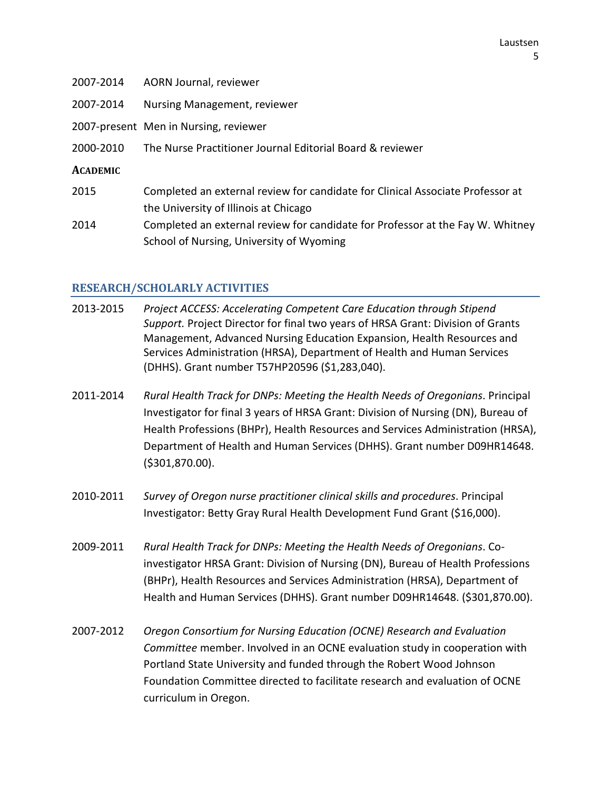- 2007-2014 AORN Journal, reviewer
- 2007-2014 Nursing Management, reviewer
- 2007-present Men in Nursing, reviewer
- 2000-2010 The Nurse Practitioner Journal Editorial Board & reviewer
- **ACADEMIC**
- 2015 Completed an external review for candidate for Clinical Associate Professor at the University of Illinois at Chicago
- 2014 Completed an external review for candidate for Professor at the Fay W. Whitney School of Nursing, University of Wyoming

### **RESEARCH/SCHOLARLY ACTIVITIES**

- 2013-2015 *Project ACCESS: Accelerating Competent Care Education through Stipend Support.* Project Director for final two years of HRSA Grant: Division of Grants Management, Advanced Nursing Education Expansion, Health Resources and Services Administration (HRSA), Department of Health and Human Services (DHHS). Grant number T57HP20596 (\$1,283,040).
- 2011-2014 *Rural Health Track for DNPs: Meeting the Health Needs of Oregonians*. Principal Investigator for final 3 years of HRSA Grant: Division of Nursing (DN), Bureau of Health Professions (BHPr), Health Resources and Services Administration (HRSA), Department of Health and Human Services (DHHS). Grant number D09HR14648. (\$301,870.00).
- 2010-2011 *Survey of Oregon nurse practitioner clinical skills and procedures*. Principal Investigator: Betty Gray Rural Health Development Fund Grant (\$16,000).
- 2009-2011 *Rural Health Track for DNPs: Meeting the Health Needs of Oregonians*. Coinvestigator HRSA Grant: Division of Nursing (DN), Bureau of Health Professions (BHPr), Health Resources and Services Administration (HRSA), Department of Health and Human Services (DHHS). Grant number D09HR14648. (\$301,870.00).
- 2007-2012 *Oregon Consortium for Nursing Education (OCNE) Research and Evaluation Committee* member. Involved in an OCNE evaluation study in cooperation with Portland State University and funded through the Robert Wood Johnson Foundation Committee directed to facilitate research and evaluation of OCNE curriculum in Oregon.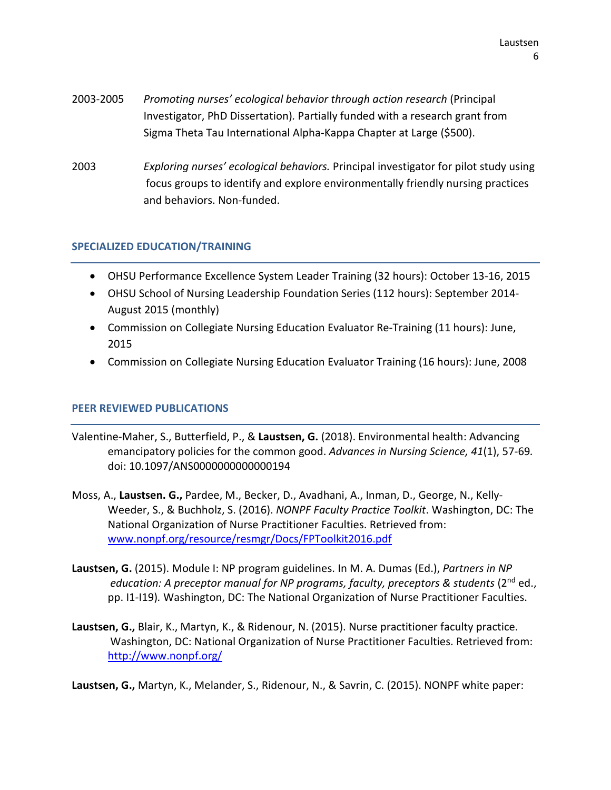- 2003-2005 *Promoting nurses' ecological behavior through action research* (Principal Investigator, PhD Dissertation)*.* Partially funded with a research grant from Sigma Theta Tau International Alpha-Kappa Chapter at Large (\$500).
- 2003 *Exploring nurses' ecological behaviors.* Principal investigator for pilot study using focus groups to identify and explore environmentally friendly nursing practices and behaviors. Non-funded.

### **SPECIALIZED EDUCATION/TRAINING**

- OHSU Performance Excellence System Leader Training (32 hours): October 13-16, 2015
- OHSU School of Nursing Leadership Foundation Series (112 hours): September 2014- August 2015 (monthly)
- Commission on Collegiate Nursing Education Evaluator Re-Training (11 hours): June, 2015
- Commission on Collegiate Nursing Education Evaluator Training (16 hours): June, 2008

### **PEER REVIEWED PUBLICATIONS**

- Valentine-Maher, S., Butterfield, P., & **Laustsen, G.** (2018). Environmental health: Advancing emancipatory policies for the common good. *Advances in Nursing Science, 41*(1), 57-69*.* doi: 10.1097/ANS0000000000000194
- Moss, A., **Laustsen. G.,** Pardee, M., Becker, D., Avadhani, A., Inman, D., George, N., Kelly-Weeder, S., & Buchholz, S. (2016). *NONPF Faculty Practice Toolkit*. Washington, DC: The National Organization of Nurse Practitioner Faculties. Retrieved from: [www.nonpf.org/resource/resmgr/Docs/FPToolkit2016.pdf](http://www.nonpf.org/resource/resmgr/Docs/FPToolkit2016.pdf)
- **Laustsen, G.** (2015). Module I: NP program guidelines. In M. A. Dumas (Ed.), *Partners in NP* education: A preceptor manual for NP programs, faculty, preceptors & students (2<sup>nd</sup> ed., pp. I1-I19)*.* Washington, DC: The National Organization of Nurse Practitioner Faculties.
- **Laustsen, G.,** Blair, K., Martyn, K., & Ridenour, N. (2015). Nurse practitioner faculty practice. Washington, DC: National Organization of Nurse Practitioner Faculties. Retrieved from: <http://www.nonpf.org/>

**Laustsen, G.,** Martyn, K., Melander, S., Ridenour, N., & Savrin, C. (2015). NONPF white paper: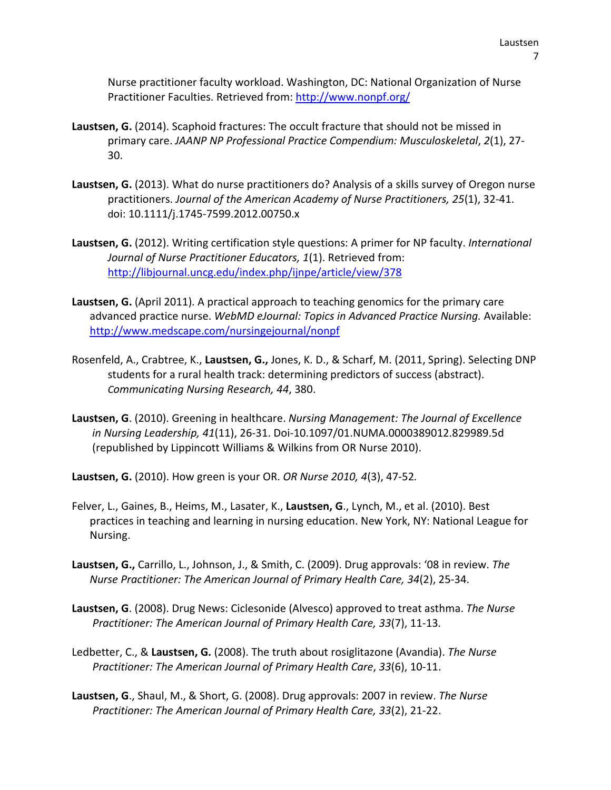Nurse practitioner faculty workload. Washington, DC: National Organization of Nurse Practitioner Faculties. Retrieved from:<http://www.nonpf.org/>

- **Laustsen, G.** (2014). Scaphoid fractures: The occult fracture that should not be missed in primary care. *JAANP NP Professional Practice Compendium: Musculoskeletal*, *2*(1), 27- 30.
- **Laustsen, G.** (2013). What do nurse practitioners do? Analysis of a skills survey of Oregon nurse practitioners. *Journal of the American Academy of Nurse Practitioners, 25*(1), 32-41. doi: 10.1111/j.1745-7599.2012.00750.x
- **Laustsen, G.** (2012). Writing certification style questions: A primer for NP faculty. *International Journal of Nurse Practitioner Educators, 1*(1). Retrieved from: <http://libjournal.uncg.edu/index.php/ijnpe/article/view/378>
- **Laustsen, G.** (April 2011). A practical approach to teaching genomics for the primary care advanced practice nurse. *WebMD eJournal: Topics in Advanced Practice Nursing.* Available: <http://www.medscape.com/nursingejournal/nonpf>
- Rosenfeld, A., Crabtree, K., **Laustsen, G.,** Jones, K. D., & Scharf, M. (2011, Spring). Selecting DNP students for a rural health track: determining predictors of success (abstract). *Communicating Nursing Research, 44*, 380.
- **Laustsen, G**. (2010). Greening in healthcare. *Nursing Management: The Journal of Excellence in Nursing Leadership, 41*(11), 26-31. Doi-10.1097/01.NUMA.0000389012.829989.5d (republished by Lippincott Williams & Wilkins from OR Nurse 2010).

**Laustsen, G.** (2010). How green is your OR. *OR Nurse 2010, 4*(3), 47-52*.*

- Felver, L., Gaines, B., Heims, M., Lasater, K., **Laustsen, G**., Lynch, M., et al. (2010). Best practices in teaching and learning in nursing education. New York, NY: National League for Nursing.
- **Laustsen, G.,** Carrillo, L., Johnson, J., & Smith, C. (2009). Drug approvals: '08 in review. *The Nurse Practitioner: The American Journal of Primary Health Care, 34*(2), 25-34.
- **Laustsen, G**. (2008). Drug News: Ciclesonide (Alvesco) approved to treat asthma. *The Nurse Practitioner: The American Journal of Primary Health Care, 33*(7), 11-13*.*
- Ledbetter, C., & **Laustsen, G.** (2008). The truth about rosiglitazone (Avandia). *The Nurse Practitioner: The American Journal of Primary Health Care*, *33*(6), 10-11.
- **Laustsen, G**., Shaul, M., & Short, G. (2008). Drug approvals: 2007 in review. *The Nurse Practitioner: The American Journal of Primary Health Care, 33*(2), 21-22.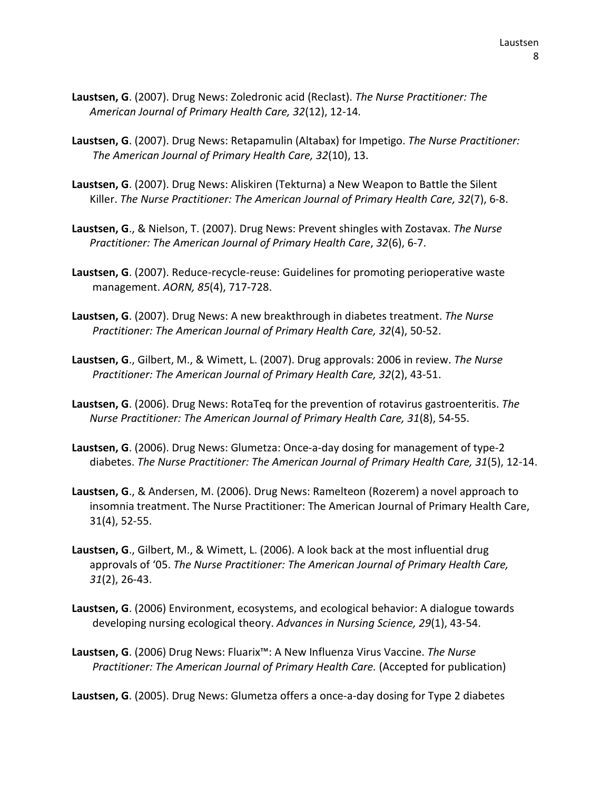- **Laustsen, G**. (2007). Drug News: Zoledronic acid (Reclast). *The Nurse Practitioner: The American Journal of Primary Health Care, 32*(12), 12-14*.*
- **Laustsen, G**. (2007). Drug News: Retapamulin (Altabax) for Impetigo. *The Nurse Practitioner: The American Journal of Primary Health Care, 32*(10), 13.
- **Laustsen, G**. (2007). Drug News: Aliskiren (Tekturna) a New Weapon to Battle the Silent Killer. *The Nurse Practitioner: The American Journal of Primary Health Care, 32*(7), 6-8.
- **Laustsen, G**., & Nielson, T. (2007). Drug News: Prevent shingles with Zostavax. *The Nurse Practitioner: The American Journal of Primary Health Care*, *32*(6), 6-7.
- **Laustsen, G**. (2007). Reduce-recycle-reuse: Guidelines for promoting perioperative waste management. *AORN, 85*(4), 717-728.
- **Laustsen, G**. (2007). Drug News: A new breakthrough in diabetes treatment. *The Nurse Practitioner: The American Journal of Primary Health Care, 32*(4), 50-52.
- **Laustsen, G**., Gilbert, M., & Wimett, L. (2007). Drug approvals: 2006 in review. *The Nurse Practitioner: The American Journal of Primary Health Care, 32*(2), 43-51.
- **Laustsen, G**. (2006). Drug News: RotaTeq for the prevention of rotavirus gastroenteritis. *The Nurse Practitioner: The American Journal of Primary Health Care, 31*(8), 54-55.
- **Laustsen, G**. (2006). Drug News: Glumetza: Once-a-day dosing for management of type-2 diabetes. *The Nurse Practitioner: The American Journal of Primary Health Care, 31*(5), 12-14.
- **Laustsen, G**., & Andersen, M. (2006). Drug News: Ramelteon (Rozerem) a novel approach to insomnia treatment. The Nurse Practitioner: The American Journal of Primary Health Care, 31(4), 52-55.
- **Laustsen, G**., Gilbert, M., & Wimett, L. (2006). A look back at the most influential drug approvals of '05. *The Nurse Practitioner: The American Journal of Primary Health Care, 31*(2), 26-43.
- **Laustsen, G**. (2006) Environment, ecosystems, and ecological behavior: A dialogue towards developing nursing ecological theory. *Advances in Nursing Science, 29*(1), 43-54.
- **Laustsen, G**. (2006) Drug News: Fluarix™: A New Influenza Virus Vaccine. *The Nurse Practitioner: The American Journal of Primary Health Care.* (Accepted for publication)

**Laustsen, G**. (2005). Drug News: Glumetza offers a once-a-day dosing for Type 2 diabetes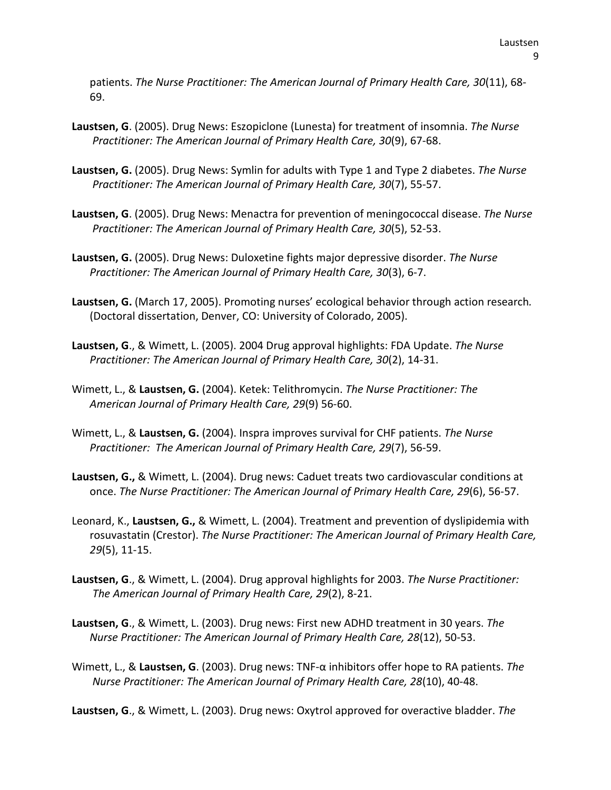patients. *The Nurse Practitioner: The American Journal of Primary Health Care, 30*(11), 68- 69.

- **Laustsen, G**. (2005). Drug News: Eszopiclone (Lunesta) for treatment of insomnia. *The Nurse Practitioner: The American Journal of Primary Health Care, 30*(9), 67-68.
- **Laustsen, G.** (2005). Drug News: Symlin for adults with Type 1 and Type 2 diabetes. *The Nurse Practitioner: The American Journal of Primary Health Care, 30*(7), 55-57.
- **Laustsen, G**. (2005). Drug News: Menactra for prevention of meningococcal disease. *The Nurse Practitioner: The American Journal of Primary Health Care, 30*(5), 52-53.
- **Laustsen, G.** (2005). Drug News: Duloxetine fights major depressive disorder. *The Nurse Practitioner: The American Journal of Primary Health Care, 30*(3), 6-7.
- **Laustsen, G.** (March 17, 2005). Promoting nurses' ecological behavior through action research*.* (Doctoral dissertation, Denver, CO: University of Colorado, 2005).
- **Laustsen, G**., & Wimett, L. (2005). 2004 Drug approval highlights: FDA Update. *The Nurse Practitioner: The American Journal of Primary Health Care, 30*(2), 14-31.
- Wimett, L., & **Laustsen, G.** (2004). Ketek: Telithromycin. *The Nurse Practitioner: The American Journal of Primary Health Care, 29*(9) 56-60.
- Wimett, L., & **Laustsen, G.** (2004). Inspra improves survival for CHF patients. *The Nurse Practitioner: The American Journal of Primary Health Care, 29*(7), 56-59.
- **Laustsen, G.,** & Wimett, L. (2004). Drug news: Caduet treats two cardiovascular conditions at once. *The Nurse Practitioner: The American Journal of Primary Health Care, 29*(6), 56-57.
- Leonard, K., **Laustsen, G.,** & Wimett, L. (2004). Treatment and prevention of dyslipidemia with rosuvastatin (Crestor). *The Nurse Practitioner: The American Journal of Primary Health Care, 29*(5), 11-15.
- **Laustsen, G**., & Wimett, L. (2004). Drug approval highlights for 2003. *The Nurse Practitioner: The American Journal of Primary Health Care, 29*(2), 8-21.
- **Laustsen, G**., & Wimett, L. (2003). Drug news: First new ADHD treatment in 30 years. *The Nurse Practitioner: The American Journal of Primary Health Care, 28*(12), 50-53.
- Wimett, L., & **Laustsen, G**. (2003). Drug news: TNF-α inhibitors offer hope to RA patients. *The Nurse Practitioner: The American Journal of Primary Health Care, 28*(10), 40-48.

**Laustsen, G**., & Wimett, L. (2003). Drug news: Oxytrol approved for overactive bladder. *The*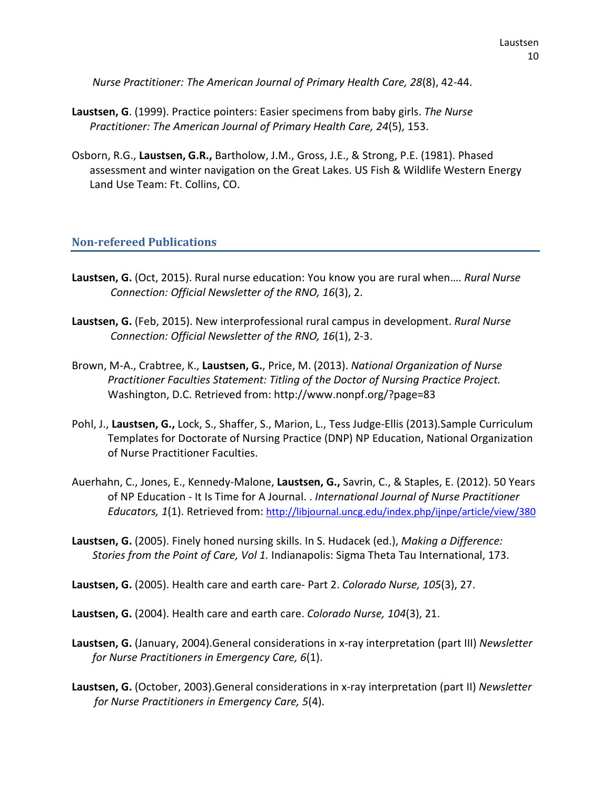*Nurse Practitioner: The American Journal of Primary Health Care, 28*(8), 42-44.

- **Laustsen, G**. (1999). Practice pointers: Easier specimens from baby girls. *The Nurse Practitioner: The American Journal of Primary Health Care, 24*(5), 153.
- Osborn, R.G., **Laustsen, G.R.,** Bartholow, J.M., Gross, J.E., & Strong, P.E. (1981). Phased assessment and winter navigation on the Great Lakes. US Fish & Wildlife Western Energy Land Use Team: Ft. Collins, CO.

### **Non-refereed Publications**

- **Laustsen, G.** (Oct, 2015). Rural nurse education: You know you are rural when…. *Rural Nurse Connection: Official Newsletter of the RNO, 16*(3), 2.
- **Laustsen, G.** (Feb, 2015). New interprofessional rural campus in development. *Rural Nurse Connection: Official Newsletter of the RNO, 16*(1), 2-3.
- Brown, M-A., Crabtree, K., **Laustsen, G.**, Price, M. (2013). *National Organization of Nurse Practitioner Faculties Statement: Titling of the Doctor of Nursing Practice Project.* Washington, D.C. Retrieved from: http://www.nonpf.org/?page=83
- Pohl, J., **Laustsen, G.,** Lock, S., Shaffer, S., Marion, L., Tess Judge-Ellis (2013).Sample Curriculum Templates for Doctorate of Nursing Practice (DNP) NP Education, National Organization of Nurse Practitioner Faculties.
- Auerhahn, C., Jones, E., Kennedy-Malone, **Laustsen, G.,** Savrin, C., & Staples, E. (2012). 50 Years of NP Education - It Is Time for A Journal. . *International Journal of Nurse Practitioner Educators, 1*(1). Retrieved from[: http://libjournal.uncg.edu/index.php/ijnpe/article/view/380](http://libjournal.uncg.edu/index.php/ijnpe/article/view/380)
- **Laustsen, G.** (2005). Finely honed nursing skills. In S. Hudacek (ed.), *Making a Difference: Stories from the Point of Care, Vol 1.* Indianapolis: Sigma Theta Tau International, 173.

**Laustsen, G.** (2005). Health care and earth care- Part 2. *Colorado Nurse, 105*(3), 27.

**Laustsen, G.** (2004). Health care and earth care. *Colorado Nurse, 104*(3), 21.

- **Laustsen, G.** (January, 2004).General considerations in x-ray interpretation (part III) *Newsletter for Nurse Practitioners in Emergency Care, 6*(1).
- **Laustsen, G.** (October, 2003).General considerations in x-ray interpretation (part II) *Newsletter for Nurse Practitioners in Emergency Care, 5*(4).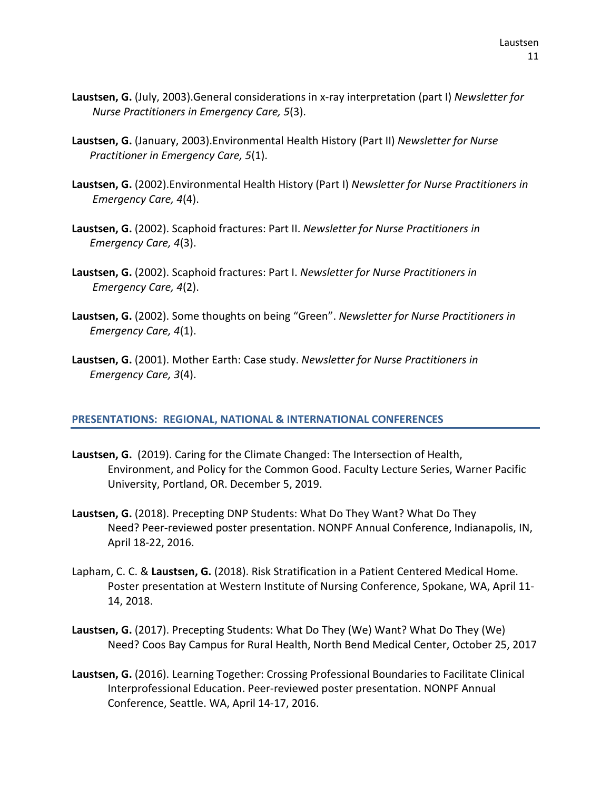- **Laustsen, G.** (July, 2003).General considerations in x-ray interpretation (part I) *Newsletter for Nurse Practitioners in Emergency Care, 5*(3).
- **Laustsen, G.** (January, 2003).Environmental Health History (Part II) *Newsletter for Nurse Practitioner in Emergency Care, 5*(1).
- **Laustsen, G.** (2002).Environmental Health History (Part I) *Newsletter for Nurse Practitioners in Emergency Care, 4*(4).
- **Laustsen, G.** (2002). Scaphoid fractures: Part II. *Newsletter for Nurse Practitioners in Emergency Care, 4*(3).
- **Laustsen, G.** (2002). Scaphoid fractures: Part I. *Newsletter for Nurse Practitioners in Emergency Care, 4*(2).
- **Laustsen, G.** (2002). Some thoughts on being "Green". *Newsletter for Nurse Practitioners in Emergency Care, 4*(1).
- **Laustsen, G.** (2001). Mother Earth: Case study. *Newsletter for Nurse Practitioners in Emergency Care, 3*(4).

### **PRESENTATIONS: REGIONAL, NATIONAL & INTERNATIONAL CONFERENCES**

- **Laustsen, G.** (2019). Caring for the Climate Changed: The Intersection of Health, Environment, and Policy for the Common Good. Faculty Lecture Series, Warner Pacific University, Portland, OR. December 5, 2019.
- **Laustsen, G.** (2018). Precepting DNP Students: What Do They Want? What Do They Need? Peer-reviewed poster presentation. NONPF Annual Conference, Indianapolis, IN, April 18-22, 2016.
- Lapham, C. C. & **Laustsen, G.** (2018). Risk Stratification in a Patient Centered Medical Home. Poster presentation at Western Institute of Nursing Conference, Spokane, WA, April 11- 14, 2018.
- **Laustsen, G.** (2017). Precepting Students: What Do They (We) Want? What Do They (We) Need? Coos Bay Campus for Rural Health, North Bend Medical Center, October 25, 2017
- **Laustsen, G.** (2016). Learning Together: Crossing Professional Boundaries to Facilitate Clinical Interprofessional Education. Peer-reviewed poster presentation. NONPF Annual Conference, Seattle. WA, April 14-17, 2016.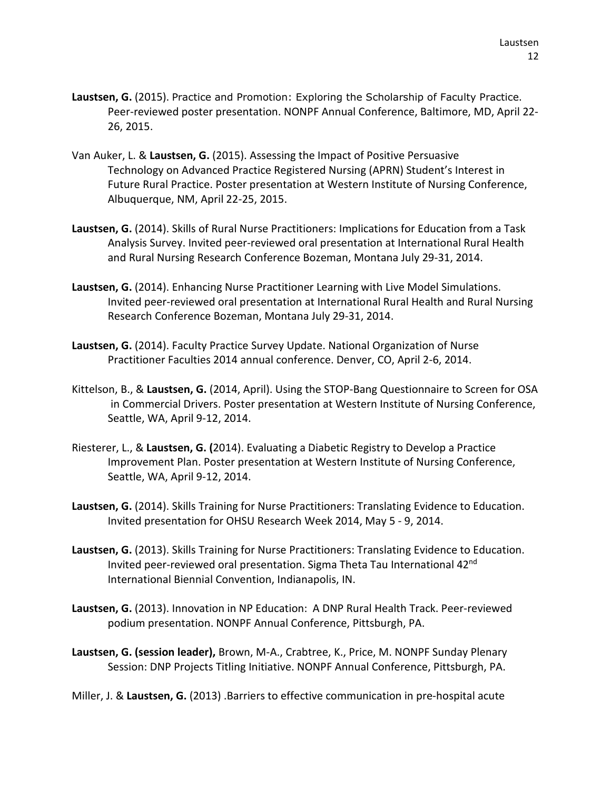- **Laustsen, G.** (2015). Practice and Promotion: Exploring the Scholarship of Faculty Practice. Peer-reviewed poster presentation. NONPF Annual Conference, Baltimore, MD, April 22- 26, 2015.
- Van Auker, L. & **Laustsen, G.** (2015). Assessing the Impact of Positive Persuasive Technology on Advanced Practice Registered Nursing (APRN) Student's Interest in Future Rural Practice. Poster presentation at Western Institute of Nursing Conference, Albuquerque, NM, April 22-25, 2015.
- **Laustsen, G.** (2014). Skills of Rural Nurse Practitioners: Implications for Education from a Task Analysis Survey. Invited peer-reviewed oral presentation at International Rural Health and Rural Nursing Research Conference Bozeman, Montana July 29-31, 2014.
- **Laustsen, G.** (2014). Enhancing Nurse Practitioner Learning with Live Model Simulations. Invited peer-reviewed oral presentation at International Rural Health and Rural Nursing Research Conference Bozeman, Montana July 29-31, 2014.
- **Laustsen, G.** (2014). Faculty Practice Survey Update. National Organization of Nurse Practitioner Faculties 2014 annual conference. Denver, CO, April 2-6, 2014.
- Kittelson, B., & **Laustsen, G.** (2014, April). Using the STOP-Bang Questionnaire to Screen for OSA in Commercial Drivers. Poster presentation at Western Institute of Nursing Conference, Seattle, WA, April 9-12, 2014.
- Riesterer, L., & **Laustsen, G. (**2014). Evaluating a Diabetic Registry to Develop a Practice Improvement Plan. Poster presentation at Western Institute of Nursing Conference, Seattle, WA, April 9-12, 2014.
- **Laustsen, G.** (2014). Skills Training for Nurse Practitioners: Translating Evidence to Education. Invited presentation for OHSU Research Week 2014, May 5 - 9, 2014.
- **Laustsen, G.** (2013). Skills Training for Nurse Practitioners: Translating Evidence to Education. Invited peer-reviewed oral presentation. Sigma Theta Tau International 42<sup>nd</sup> International Biennial Convention, Indianapolis, IN.
- **Laustsen, G.** (2013). Innovation in NP Education: A DNP Rural Health Track. Peer-reviewed podium presentation. NONPF Annual Conference, Pittsburgh, PA.
- **Laustsen, G. (session leader),** Brown, M-A., Crabtree, K., Price, M. NONPF Sunday Plenary Session: DNP Projects Titling Initiative. NONPF Annual Conference, Pittsburgh, PA.

Miller, J. & **Laustsen, G.** (2013) .Barriers to effective communication in pre-hospital acute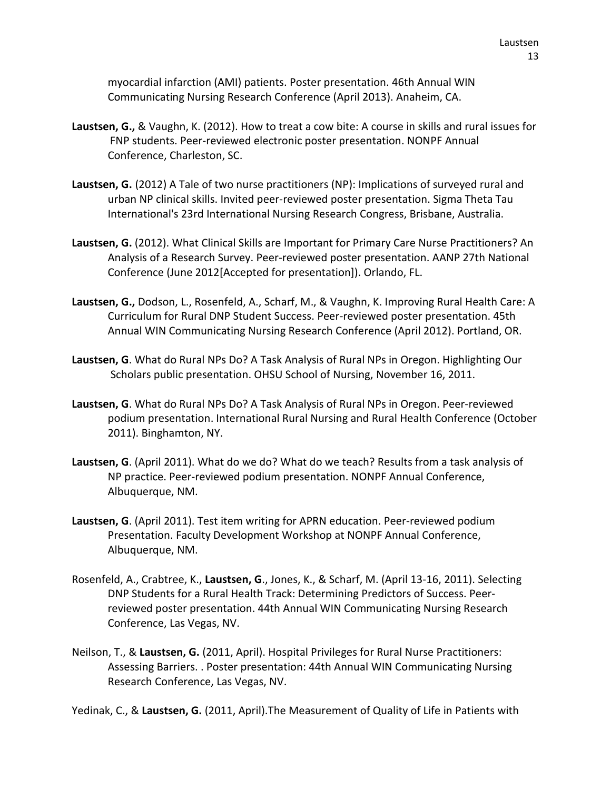myocardial infarction (AMI) patients. Poster presentation. 46th Annual WIN Communicating Nursing Research Conference (April 2013). Anaheim, CA.

- **Laustsen, G.,** & Vaughn, K. (2012). How to treat a cow bite: A course in skills and rural issues for FNP students. Peer-reviewed electronic poster presentation. NONPF Annual Conference, Charleston, SC.
- **Laustsen, G.** (2012) A Tale of two nurse practitioners (NP): Implications of surveyed rural and urban NP clinical skills. Invited peer-reviewed poster presentation. Sigma Theta Tau International's 23rd International Nursing Research Congress, Brisbane, Australia.
- **Laustsen, G.** (2012). What Clinical Skills are Important for Primary Care Nurse Practitioners? An Analysis of a Research Survey. Peer-reviewed poster presentation. AANP 27th National Conference (June 2012[Accepted for presentation]). Orlando, FL.
- **Laustsen, G.,** Dodson, L., Rosenfeld, A., Scharf, M., & Vaughn, K. Improving Rural Health Care: A Curriculum for Rural DNP Student Success. Peer-reviewed poster presentation. 45th Annual WIN Communicating Nursing Research Conference (April 2012). Portland, OR.
- **Laustsen, G**. What do Rural NPs Do? A Task Analysis of Rural NPs in Oregon. Highlighting Our Scholars public presentation. OHSU School of Nursing, November 16, 2011.
- **Laustsen, G**. What do Rural NPs Do? A Task Analysis of Rural NPs in Oregon. Peer-reviewed podium presentation. International Rural Nursing and Rural Health Conference (October 2011). Binghamton, NY.
- **Laustsen, G**. (April 2011). What do we do? What do we teach? Results from a task analysis of NP practice. Peer-reviewed podium presentation. NONPF Annual Conference, Albuquerque, NM.
- **Laustsen, G**. (April 2011). Test item writing for APRN education. Peer-reviewed podium Presentation. Faculty Development Workshop at NONPF Annual Conference, Albuquerque, NM.
- Rosenfeld, A., Crabtree, K., **Laustsen, G**., Jones, K., & Scharf, M. (April 13-16, 2011). Selecting DNP Students for a Rural Health Track: Determining Predictors of Success. Peerreviewed poster presentation. 44th Annual WIN Communicating Nursing Research Conference, Las Vegas, NV.
- Neilson, T., & **Laustsen, G.** (2011, April). Hospital Privileges for Rural Nurse Practitioners: Assessing Barriers. . Poster presentation: 44th Annual WIN Communicating Nursing Research Conference, Las Vegas, NV.

Yedinak, C., & **Laustsen, G.** (2011, April).The Measurement of Quality of Life in Patients with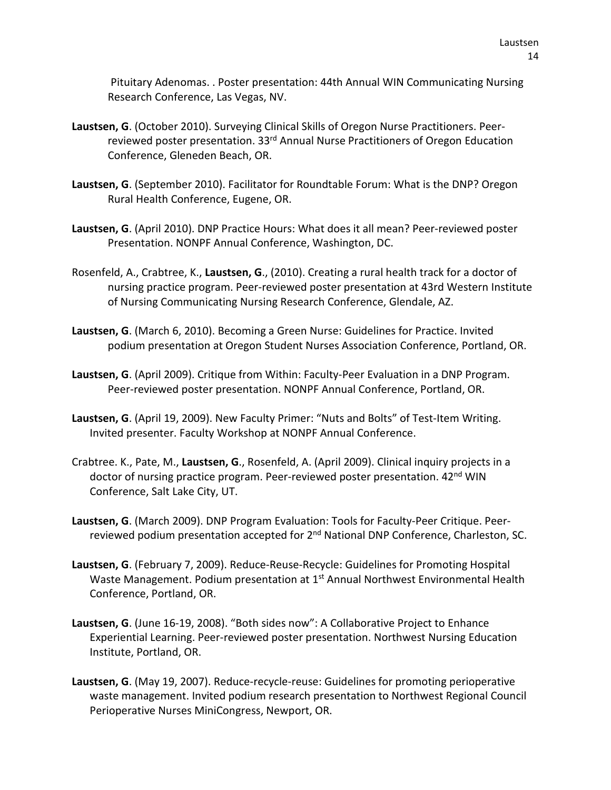Pituitary Adenomas. . Poster presentation: 44th Annual WIN Communicating Nursing Research Conference, Las Vegas, NV.

- **Laustsen, G**. (October 2010). Surveying Clinical Skills of Oregon Nurse Practitioners. Peerreviewed poster presentation. 33<sup>rd</sup> Annual Nurse Practitioners of Oregon Education Conference, Gleneden Beach, OR.
- **Laustsen, G**. (September 2010). Facilitator for Roundtable Forum: What is the DNP? Oregon Rural Health Conference, Eugene, OR.
- **Laustsen, G**. (April 2010). DNP Practice Hours: What does it all mean? Peer-reviewed poster Presentation. NONPF Annual Conference, Washington, DC.
- Rosenfeld, A., Crabtree, K., **Laustsen, G**., (2010). Creating a rural health track for a doctor of nursing practice program. Peer-reviewed poster presentation at 43rd Western Institute of Nursing Communicating Nursing Research Conference, Glendale, AZ.
- **Laustsen, G**. (March 6, 2010). Becoming a Green Nurse: Guidelines for Practice. Invited podium presentation at Oregon Student Nurses Association Conference, Portland, OR.
- **Laustsen, G**. (April 2009). Critique from Within: Faculty-Peer Evaluation in a DNP Program. Peer-reviewed poster presentation. NONPF Annual Conference, Portland, OR.
- **Laustsen, G**. (April 19, 2009). New Faculty Primer: "Nuts and Bolts" of Test-Item Writing. Invited presenter. Faculty Workshop at NONPF Annual Conference.
- Crabtree. K., Pate, M., **Laustsen, G**., Rosenfeld, A. (April 2009). Clinical inquiry projects in a doctor of nursing practice program. Peer-reviewed poster presentation. 42<sup>nd</sup> WIN Conference, Salt Lake City, UT.
- **Laustsen, G**. (March 2009). DNP Program Evaluation: Tools for Faculty-Peer Critique. Peerreviewed podium presentation accepted for 2<sup>nd</sup> National DNP Conference, Charleston, SC.
- **Laustsen, G**. (February 7, 2009). Reduce-Reuse-Recycle: Guidelines for Promoting Hospital Waste Management. Podium presentation at 1<sup>st</sup> Annual Northwest Environmental Health Conference, Portland, OR.
- **Laustsen, G**. (June 16-19, 2008). "Both sides now": A Collaborative Project to Enhance Experiential Learning. Peer-reviewed poster presentation. Northwest Nursing Education Institute, Portland, OR.
- **Laustsen, G**. (May 19, 2007). Reduce-recycle-reuse: Guidelines for promoting perioperative waste management. Invited podium research presentation to Northwest Regional Council Perioperative Nurses MiniCongress, Newport, OR.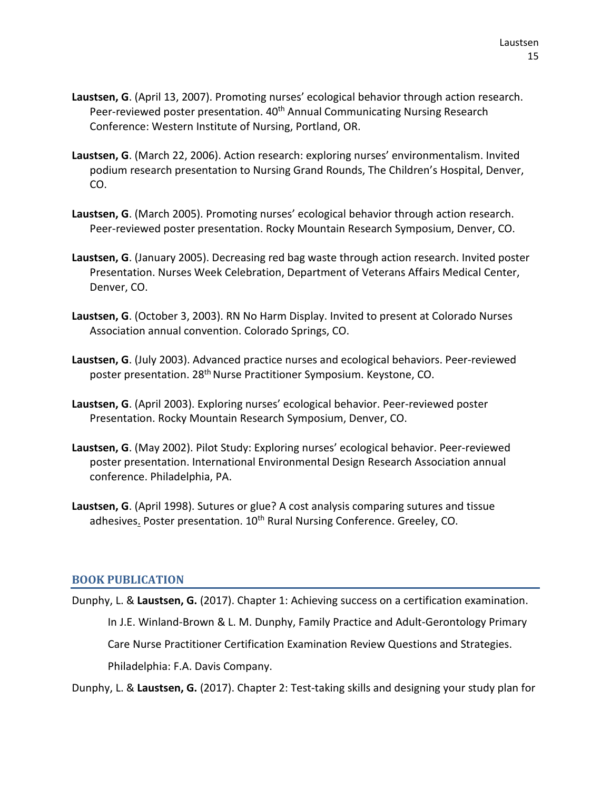- **Laustsen, G**. (April 13, 2007). Promoting nurses' ecological behavior through action research. Peer-reviewed poster presentation. 40<sup>th</sup> Annual Communicating Nursing Research Conference: Western Institute of Nursing, Portland, OR.
- **Laustsen, G**. (March 22, 2006). Action research: exploring nurses' environmentalism. Invited podium research presentation to Nursing Grand Rounds, The Children's Hospital, Denver, CO.
- **Laustsen, G**. (March 2005). Promoting nurses' ecological behavior through action research. Peer-reviewed poster presentation. Rocky Mountain Research Symposium, Denver, CO.
- **Laustsen, G**. (January 2005). Decreasing red bag waste through action research. Invited poster Presentation. Nurses Week Celebration, Department of Veterans Affairs Medical Center, Denver, CO.
- **Laustsen, G**. (October 3, 2003). RN No Harm Display. Invited to present at Colorado Nurses Association annual convention. Colorado Springs, CO.
- **Laustsen, G**. (July 2003). Advanced practice nurses and ecological behaviors. Peer-reviewed poster presentation. 28th Nurse Practitioner Symposium. Keystone, CO.
- **Laustsen, G**. (April 2003). Exploring nurses' ecological behavior. Peer-reviewed poster Presentation. Rocky Mountain Research Symposium, Denver, CO.
- **Laustsen, G**. (May 2002). Pilot Study: Exploring nurses' ecological behavior. Peer-reviewed poster presentation. International Environmental Design Research Association annual conference. Philadelphia, PA.
- **Laustsen, G**. (April 1998). Sutures or glue? A cost analysis comparing sutures and tissue adhesives. Poster presentation. 10<sup>th</sup> Rural Nursing Conference. Greeley, CO.

### **BOOK PUBLICATION**

Dunphy, L. & **Laustsen, G.** (2017). Chapter 1: Achieving success on a certification examination. In J.E. Winland-Brown & L. M. Dunphy, Family Practice and Adult-Gerontology Primary Care Nurse Practitioner Certification Examination Review Questions and Strategies. Philadelphia: F.A. Davis Company.

Dunphy, L. & **Laustsen, G.** (2017). Chapter 2: Test-taking skills and designing your study plan for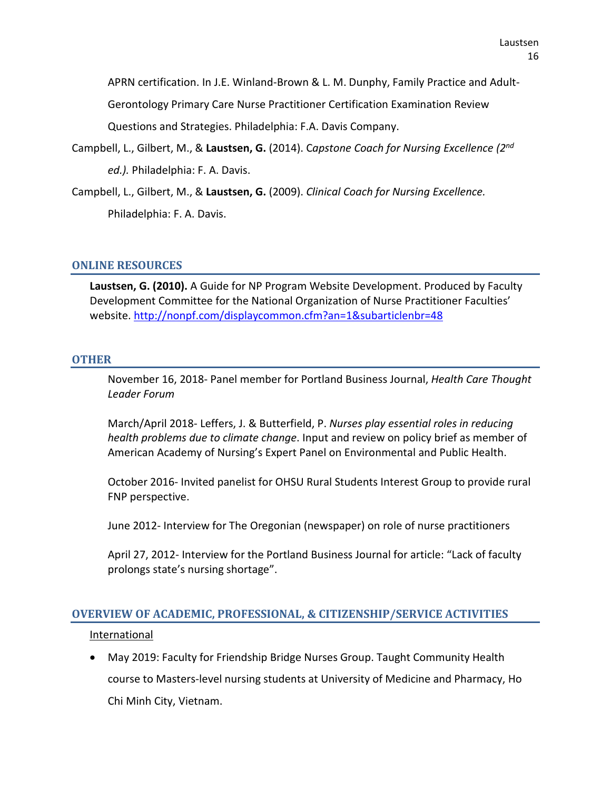APRN certification. In J.E. Winland-Brown & L. M. Dunphy, Family Practice and Adult-

Gerontology Primary Care Nurse Practitioner Certification Examination Review

Questions and Strategies. Philadelphia: F.A. Davis Company.

- Campbell, L., Gilbert, M., & **Laustsen, G.** (2014). C*apstone Coach for Nursing Excellence (2nd ed.).* Philadelphia: F. A. Davis.
- Campbell, L., Gilbert, M., & **Laustsen, G.** (2009). *Clinical Coach for Nursing Excellence.* Philadelphia: F. A. Davis.

#### **ONLINE RESOURCES**

**Laustsen, G. (2010).** A Guide for NP Program Website Development. Produced by Faculty Development Committee for the National Organization of Nurse Practitioner Faculties' website.<http://nonpf.com/displaycommon.cfm?an=1&subarticlenbr=48>

#### **OTHER**

November 16, 2018- Panel member for Portland Business Journal, *Health Care Thought Leader Forum*

March/April 2018- Leffers, J. & Butterfield, P. *Nurses play essential roles in reducing health problems due to climate change*. Input and review on policy brief as member of American Academy of Nursing's Expert Panel on Environmental and Public Health.

October 2016- Invited panelist for OHSU Rural Students Interest Group to provide rural FNP perspective.

June 2012- Interview for The Oregonian (newspaper) on role of nurse practitioners

April 27, 2012- Interview for the Portland Business Journal for article: "Lack of faculty prolongs state's nursing shortage".

### **OVERVIEW OF ACADEMIC, PROFESSIONAL, & CITIZENSHIP/SERVICE ACTIVITIES**

#### International

• May 2019: Faculty for Friendship Bridge Nurses Group. Taught Community Health course to Masters-level nursing students at University of Medicine and Pharmacy, Ho Chi Minh City, Vietnam.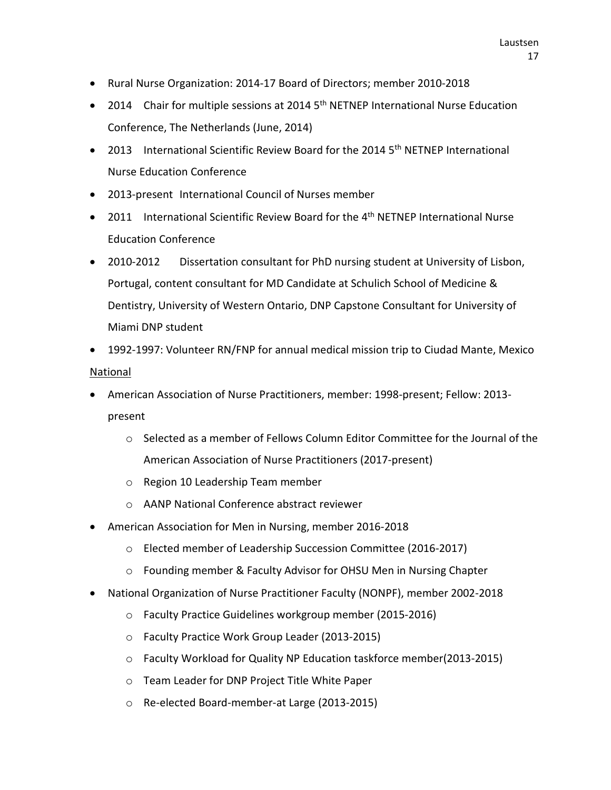- Rural Nurse Organization: 2014-17 Board of Directors; member 2010-2018
- 2014 Chair for multiple sessions at 2014 5<sup>th</sup> NETNEP International Nurse Education Conference, The Netherlands (June, 2014)
- 2013 International Scientific Review Board for the 2014  $5<sup>th</sup>$  NETNEP International Nurse Education Conference
- 2013-present International Council of Nurses member
- 2011 International Scientific Review Board for the  $4<sup>th</sup>$  NETNEP International Nurse Education Conference
- 2010-2012 Dissertation consultant for PhD nursing student at University of Lisbon, Portugal, content consultant for MD Candidate at Schulich School of Medicine & Dentistry, University of Western Ontario, DNP Capstone Consultant for University of Miami DNP student
- 1992-1997: Volunteer RN/FNP for annual medical mission trip to Ciudad Mante, Mexico **National**
- American Association of Nurse Practitioners, member: 1998-present; Fellow: 2013 present
	- $\circ$  Selected as a member of Fellows Column Editor Committee for the Journal of the American Association of Nurse Practitioners (2017-present)
	- o Region 10 Leadership Team member
	- o AANP National Conference abstract reviewer
- American Association for Men in Nursing, member 2016-2018
	- o Elected member of Leadership Succession Committee (2016-2017)
	- o Founding member & Faculty Advisor for OHSU Men in Nursing Chapter
- National Organization of Nurse Practitioner Faculty (NONPF), member 2002-2018
	- o Faculty Practice Guidelines workgroup member (2015-2016)
	- o Faculty Practice Work Group Leader (2013-2015)
	- o Faculty Workload for Quality NP Education taskforce member(2013-2015)
	- o Team Leader for DNP Project Title White Paper
	- o Re-elected Board-member-at Large (2013-2015)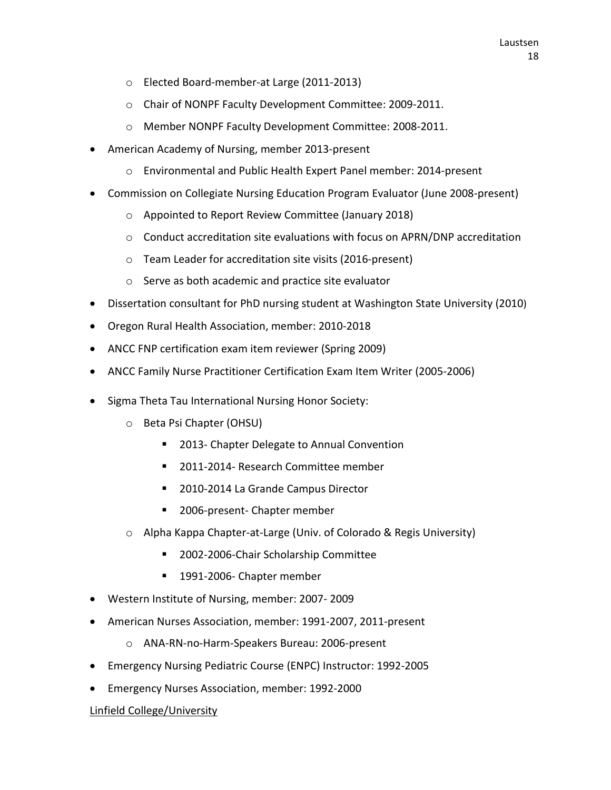- o Elected Board-member-at Large (2011-2013)
- o Chair of NONPF Faculty Development Committee: 2009-2011.
- o Member NONPF Faculty Development Committee: 2008-2011.
- American Academy of Nursing, member 2013-present
	- o Environmental and Public Health Expert Panel member: 2014-present
- Commission on Collegiate Nursing Education Program Evaluator (June 2008-present)
	- o Appointed to Report Review Committee (January 2018)
	- o Conduct accreditation site evaluations with focus on APRN/DNP accreditation
	- o Team Leader for accreditation site visits (2016-present)
	- o Serve as both academic and practice site evaluator
- Dissertation consultant for PhD nursing student at Washington State University (2010)
- Oregon Rural Health Association, member: 2010-2018
- ANCC FNP certification exam item reviewer (Spring 2009)
- ANCC Family Nurse Practitioner Certification Exam Item Writer (2005-2006)
- Sigma Theta Tau International Nursing Honor Society:
	- o Beta Psi Chapter (OHSU)
		- 2013- Chapter Delegate to Annual Convention
		- 2011-2014- Research Committee member
		- 2010-2014 La Grande Campus Director
		- 2006-present- Chapter member
	- o Alpha Kappa Chapter-at-Large (Univ. of Colorado & Regis University)
		- **2002-2006-Chair Scholarship Committee**
		- 1991-2006- Chapter member
- Western Institute of Nursing, member: 2007- 2009
- American Nurses Association, member: 1991-2007, 2011-present
	- o ANA-RN-no-Harm-Speakers Bureau: 2006-present
- Emergency Nursing Pediatric Course (ENPC) Instructor: 1992-2005
- Emergency Nurses Association, member: 1992-2000

### Linfield College/University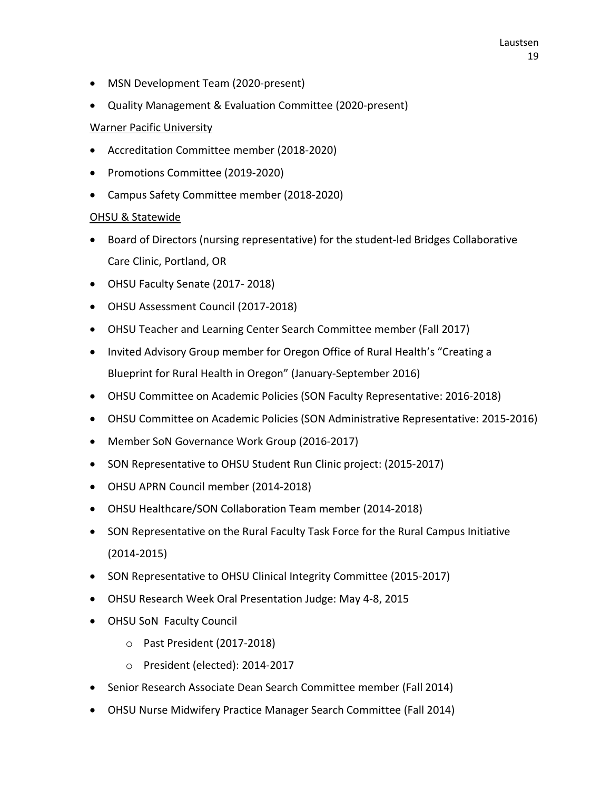- MSN Development Team (2020-present)
- Quality Management & Evaluation Committee (2020-present)

### Warner Pacific University

- Accreditation Committee member (2018-2020)
- Promotions Committee (2019-2020)
- Campus Safety Committee member (2018-2020)

### OHSU & Statewide

- Board of Directors (nursing representative) for the student-led Bridges Collaborative Care Clinic, Portland, OR
- OHSU Faculty Senate (2017- 2018)
- OHSU Assessment Council (2017-2018)
- OHSU Teacher and Learning Center Search Committee member (Fall 2017)
- Invited Advisory Group member for Oregon Office of Rural Health's "Creating a Blueprint for Rural Health in Oregon" (January-September 2016)
- OHSU Committee on Academic Policies (SON Faculty Representative: 2016-2018)
- OHSU Committee on Academic Policies (SON Administrative Representative: 2015-2016)
- Member SoN Governance Work Group (2016-2017)
- SON Representative to OHSU Student Run Clinic project: (2015-2017)
- OHSU APRN Council member (2014-2018)
- OHSU Healthcare/SON Collaboration Team member (2014-2018)
- SON Representative on the Rural Faculty Task Force for the Rural Campus Initiative (2014-2015)
- SON Representative to OHSU Clinical Integrity Committee (2015-2017)
- OHSU Research Week Oral Presentation Judge: May 4-8, 2015
- OHSU SoN Faculty Council
	- o Past President (2017-2018)
	- o President (elected): 2014-2017
- Senior Research Associate Dean Search Committee member (Fall 2014)
- OHSU Nurse Midwifery Practice Manager Search Committee (Fall 2014)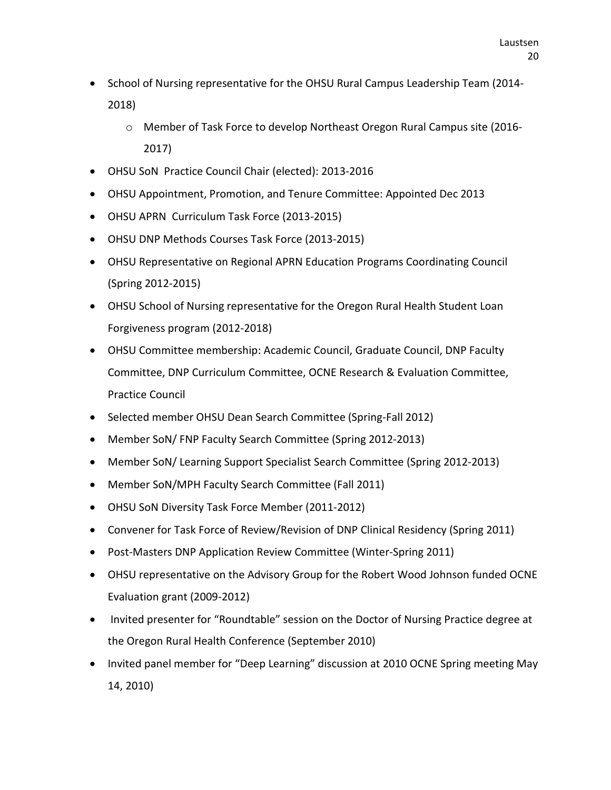- School of Nursing representative for the OHSU Rural Campus Leadership Team (2014- 2018)
	- o Member of Task Force to develop Northeast Oregon Rural Campus site (2016- 2017)
- OHSU SoN Practice Council Chair (elected): 2013-2016
- OHSU Appointment, Promotion, and Tenure Committee: Appointed Dec 2013
- OHSU APRN Curriculum Task Force (2013-2015)
- OHSU DNP Methods Courses Task Force (2013-2015)
- OHSU Representative on Regional APRN Education Programs Coordinating Council (Spring 2012-2015)
- OHSU School of Nursing representative for the Oregon Rural Health Student Loan Forgiveness program (2012-2018)
- OHSU Committee membership: Academic Council, Graduate Council, DNP Faculty Committee, DNP Curriculum Committee, OCNE Research & Evaluation Committee, Practice Council
- Selected member OHSU Dean Search Committee (Spring-Fall 2012)
- Member SoN/ FNP Faculty Search Committee (Spring 2012-2013)
- Member SoN/ Learning Support Specialist Search Committee (Spring 2012-2013)
- Member SoN/MPH Faculty Search Committee (Fall 2011)
- OHSU SoN Diversity Task Force Member (2011-2012)
- Convener for Task Force of Review/Revision of DNP Clinical Residency (Spring 2011)
- Post-Masters DNP Application Review Committee (Winter-Spring 2011)
- OHSU representative on the Advisory Group for the Robert Wood Johnson funded OCNE Evaluation grant (2009-2012)
- Invited presenter for "Roundtable" session on the Doctor of Nursing Practice degree at the Oregon Rural Health Conference (September 2010)
- Invited panel member for "Deep Learning" discussion at 2010 OCNE Spring meeting May 14, 2010)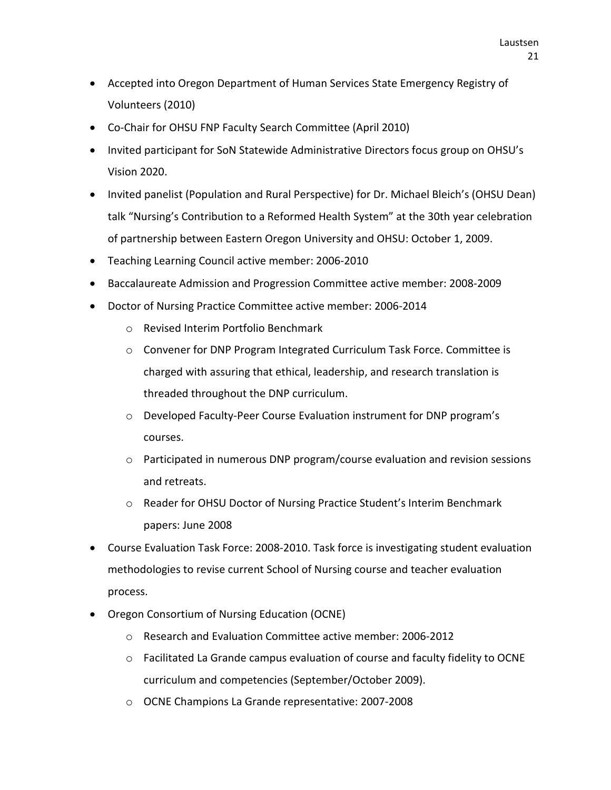- Accepted into Oregon Department of Human Services State Emergency Registry of Volunteers (2010)
- Co-Chair for OHSU FNP Faculty Search Committee (April 2010)
- Invited participant for SoN Statewide Administrative Directors focus group on OHSU's Vision 2020.
- Invited panelist (Population and Rural Perspective) for Dr. Michael Bleich's (OHSU Dean) talk "Nursing's Contribution to a Reformed Health System" at the 30th year celebration of partnership between Eastern Oregon University and OHSU: October 1, 2009.
- Teaching Learning Council active member: 2006-2010
- Baccalaureate Admission and Progression Committee active member: 2008-2009
- Doctor of Nursing Practice Committee active member: 2006-2014
	- o Revised Interim Portfolio Benchmark
	- $\circ$  Convener for DNP Program Integrated Curriculum Task Force. Committee is charged with assuring that ethical, leadership, and research translation is threaded throughout the DNP curriculum.
	- o Developed Faculty-Peer Course Evaluation instrument for DNP program's courses.
	- o Participated in numerous DNP program/course evaluation and revision sessions and retreats.
	- o Reader for OHSU Doctor of Nursing Practice Student's Interim Benchmark papers: June 2008
- Course Evaluation Task Force: 2008-2010. Task force is investigating student evaluation methodologies to revise current School of Nursing course and teacher evaluation process.
- Oregon Consortium of Nursing Education (OCNE)
	- o Research and Evaluation Committee active member: 2006-2012
	- $\circ$  Facilitated La Grande campus evaluation of course and faculty fidelity to OCNE curriculum and competencies (September/October 2009).
	- o OCNE Champions La Grande representative: 2007-2008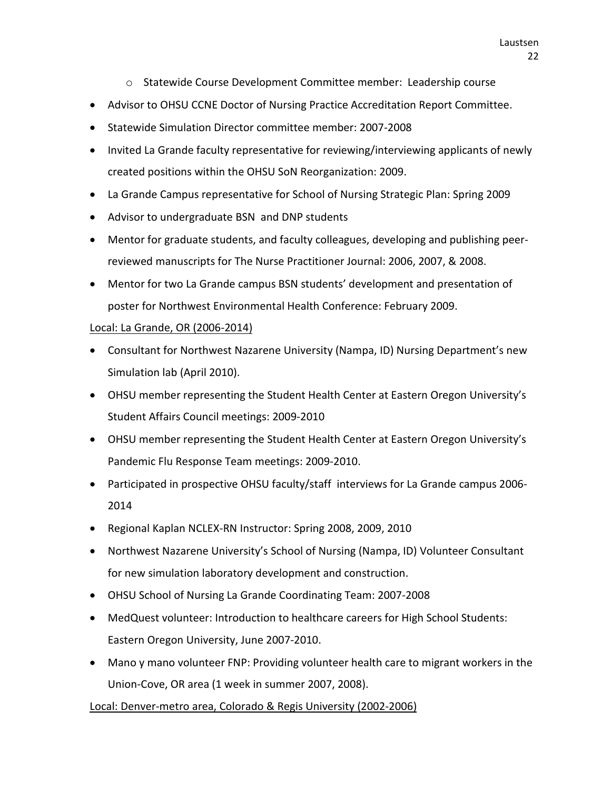- o Statewide Course Development Committee member: Leadership course
- Advisor to OHSU CCNE Doctor of Nursing Practice Accreditation Report Committee.
- Statewide Simulation Director committee member: 2007-2008
- Invited La Grande faculty representative for reviewing/interviewing applicants of newly created positions within the OHSU SoN Reorganization: 2009.
- La Grande Campus representative for School of Nursing Strategic Plan: Spring 2009
- Advisor to undergraduate BSN and DNP students
- Mentor for graduate students, and faculty colleagues, developing and publishing peerreviewed manuscripts for The Nurse Practitioner Journal: 2006, 2007, & 2008.
- Mentor for two La Grande campus BSN students' development and presentation of poster for Northwest Environmental Health Conference: February 2009.

### Local: La Grande, OR (2006-2014)

- Consultant for Northwest Nazarene University (Nampa, ID) Nursing Department's new Simulation lab (April 2010).
- OHSU member representing the Student Health Center at Eastern Oregon University's Student Affairs Council meetings: 2009-2010
- OHSU member representing the Student Health Center at Eastern Oregon University's Pandemic Flu Response Team meetings: 2009-2010.
- Participated in prospective OHSU faculty/staff interviews for La Grande campus 2006- 2014
- Regional Kaplan NCLEX-RN Instructor: Spring 2008, 2009, 2010
- Northwest Nazarene University's School of Nursing (Nampa, ID) Volunteer Consultant for new simulation laboratory development and construction.
- OHSU School of Nursing La Grande Coordinating Team: 2007-2008
- MedQuest volunteer: Introduction to healthcare careers for High School Students: Eastern Oregon University, June 2007-2010.
- Mano y mano volunteer FNP: Providing volunteer health care to migrant workers in the Union-Cove, OR area (1 week in summer 2007, 2008).

### Local: Denver-metro area, Colorado & Regis University (2002-2006)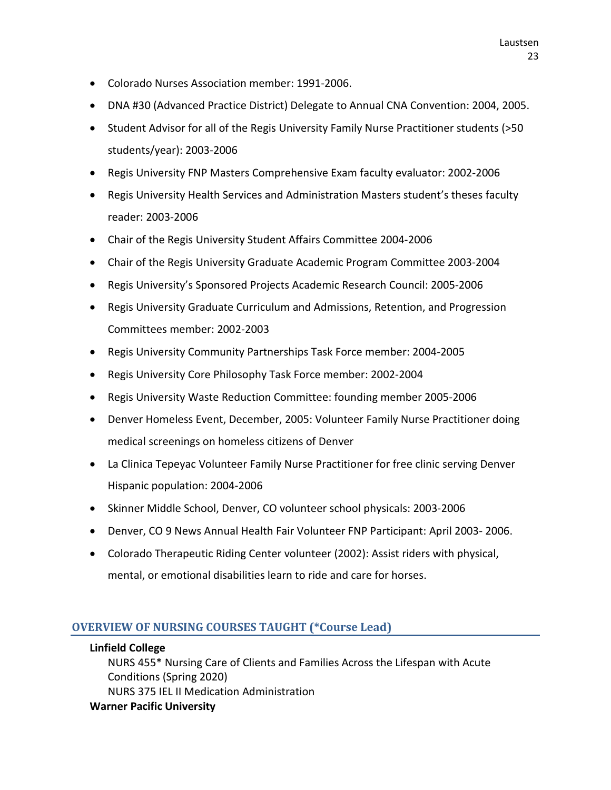- Colorado Nurses Association member: 1991-2006.
- DNA #30 (Advanced Practice District) Delegate to Annual CNA Convention: 2004, 2005.
- Student Advisor for all of the Regis University Family Nurse Practitioner students (>50 students/year): 2003-2006
- Regis University FNP Masters Comprehensive Exam faculty evaluator: 2002-2006
- Regis University Health Services and Administration Masters student's theses faculty reader: 2003-2006
- Chair of the Regis University Student Affairs Committee 2004-2006
- Chair of the Regis University Graduate Academic Program Committee 2003-2004
- Regis University's Sponsored Projects Academic Research Council: 2005-2006
- Regis University Graduate Curriculum and Admissions, Retention, and Progression Committees member: 2002-2003
- Regis University Community Partnerships Task Force member: 2004-2005
- Regis University Core Philosophy Task Force member: 2002-2004
- Regis University Waste Reduction Committee: founding member 2005-2006
- Denver Homeless Event, December, 2005: Volunteer Family Nurse Practitioner doing medical screenings on homeless citizens of Denver
- La Clinica Tepeyac Volunteer Family Nurse Practitioner for free clinic serving Denver Hispanic population: 2004-2006
- Skinner Middle School, Denver, CO volunteer school physicals: 2003-2006
- Denver, CO 9 News Annual Health Fair Volunteer FNP Participant: April 2003- 2006.
- Colorado Therapeutic Riding Center volunteer (2002): Assist riders with physical, mental, or emotional disabilities learn to ride and care for horses.

### **OVERVIEW OF NURSING COURSES TAUGHT (\*Course Lead)**

#### **Linfield College**

NURS 455\* Nursing Care of Clients and Families Across the Lifespan with Acute Conditions (Spring 2020) NURS 375 IEL II Medication Administration **Warner Pacific University**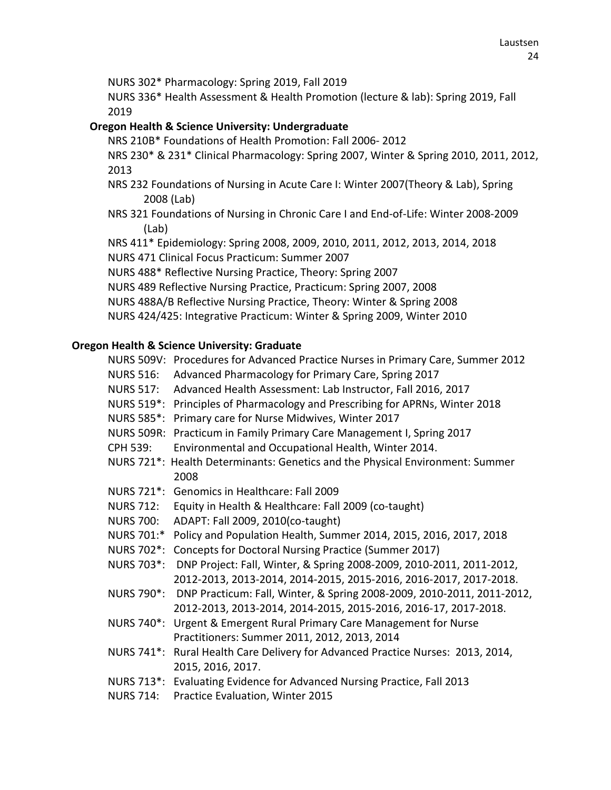NURS 302\* Pharmacology: Spring 2019, Fall 2019

NURS 336\* Health Assessment & Health Promotion (lecture & lab): Spring 2019, Fall 2019

# **Oregon Health & Science University: Undergraduate**

NRS 210B\* Foundations of Health Promotion: Fall 2006- 2012

NRS 230\* & 231\* Clinical Pharmacology: Spring 2007, Winter & Spring 2010, 2011, 2012, 2013

- NRS 232 Foundations of Nursing in Acute Care I: Winter 2007(Theory & Lab), Spring 2008 (Lab)
- NRS 321 Foundations of Nursing in Chronic Care I and End-of-Life: Winter 2008-2009 (Lab)

NRS 411\* Epidemiology: Spring 2008, 2009, 2010, 2011, 2012, 2013, 2014, 2018

NURS 471 Clinical Focus Practicum: Summer 2007

NURS 488\* Reflective Nursing Practice, Theory: Spring 2007

- NURS 489 Reflective Nursing Practice, Practicum: Spring 2007, 2008
- NURS 488A/B Reflective Nursing Practice, Theory: Winter & Spring 2008

NURS 424/425: Integrative Practicum: Winter & Spring 2009, Winter 2010

# **Oregon Health & Science University: Graduate**

- NURS 509V: Procedures for Advanced Practice Nurses in Primary Care, Summer 2012
- NURS 516: Advanced Pharmacology for Primary Care, Spring 2017
- NURS 517: Advanced Health Assessment: Lab Instructor, Fall 2016, 2017
- NURS 519\*: Principles of Pharmacology and Prescribing for APRNs, Winter 2018
- NURS 585\*: Primary care for Nurse Midwives, Winter 2017
- NURS 509R: Practicum in Family Primary Care Management I, Spring 2017
- CPH 539: Environmental and Occupational Health, Winter 2014.
- NURS 721\*: Health Determinants: Genetics and the Physical Environment: Summer 2008
- NURS 721\*: Genomics in Healthcare: Fall 2009
- NURS 712: Equity in Health & Healthcare: Fall 2009 (co-taught)
- NURS 700: ADAPT: Fall 2009, 2010(co-taught)
- NURS 701:\* Policy and Population Health, Summer 2014, 2015, 2016, 2017, 2018
- NURS 702\*: Concepts for Doctoral Nursing Practice (Summer 2017)
- NURS 703\*: DNP Project: Fall, Winter, & Spring 2008-2009, 2010-2011, 2011-2012, 2012-2013, 2013-2014, 2014-2015, 2015-2016, 2016-2017, 2017-2018.
- NURS 790\*: DNP Practicum: Fall, Winter, & Spring 2008-2009, 2010-2011, 2011-2012, 2012-2013, 2013-2014, 2014-2015, 2015-2016, 2016-17, 2017-2018.
- NURS 740\*: Urgent & Emergent Rural Primary Care Management for Nurse Practitioners: Summer 2011, 2012, 2013, 2014
- NURS 741\*: Rural Health Care Delivery for Advanced Practice Nurses: 2013, 2014, 2015, 2016, 2017.
- NURS 713\*: Evaluating Evidence for Advanced Nursing Practice, Fall 2013
- NURS 714: Practice Evaluation, Winter 2015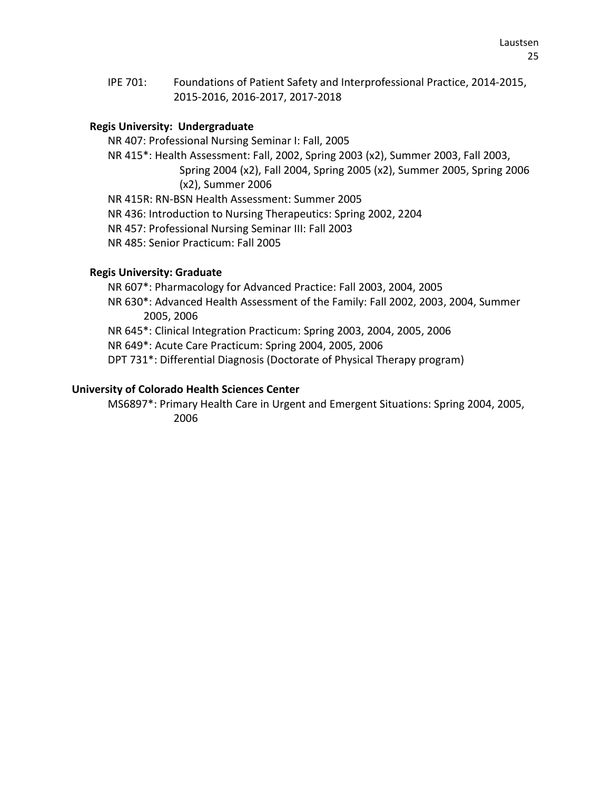IPE 701: Foundations of Patient Safety and Interprofessional Practice, 2014-2015, 2015-2016, 2016-2017, 2017-2018

# **Regis University: Undergraduate**

NR 407: Professional Nursing Seminar I: Fall, 2005

NR 415\*: Health Assessment: Fall, 2002, Spring 2003 (x2), Summer 2003, Fall 2003,

Spring 2004 (x2), Fall 2004, Spring 2005 (x2), Summer 2005, Spring 2006 (x2), Summer 2006

NR 415R: RN-BSN Health Assessment: Summer 2005

NR 436: Introduction to Nursing Therapeutics: Spring 2002, 2204

NR 457: Professional Nursing Seminar III: Fall 2003

NR 485: Senior Practicum: Fall 2005

### **Regis University: Graduate**

NR 607\*: Pharmacology for Advanced Practice: Fall 2003, 2004, 2005 NR 630\*: Advanced Health Assessment of the Family: Fall 2002, 2003, 2004, Summer 2005, 2006 NR 645\*: Clinical Integration Practicum: Spring 2003, 2004, 2005, 2006 NR 649\*: Acute Care Practicum: Spring 2004, 2005, 2006 DPT 731\*: Differential Diagnosis (Doctorate of Physical Therapy program)

# **University of Colorado Health Sciences Center**

MS6897\*: Primary Health Care in Urgent and Emergent Situations: Spring 2004, 2005, 2006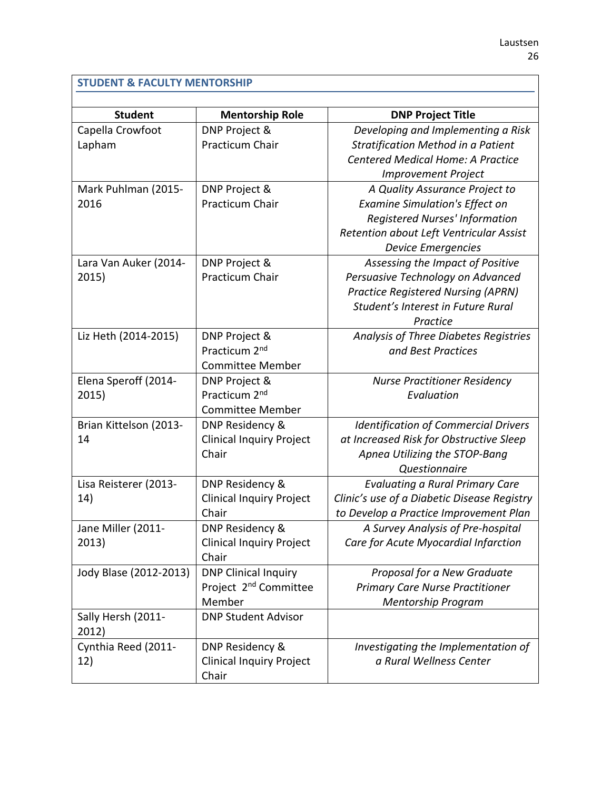# **STUDENT & FACULTY MENTORSHIP**

| <b>Student</b>              | <b>Mentorship Role</b>            | <b>DNP Project Title</b>                    |  |  |
|-----------------------------|-----------------------------------|---------------------------------------------|--|--|
| Capella Crowfoot            | DNP Project &                     | Developing and Implementing a Risk          |  |  |
| Lapham                      | Practicum Chair                   | Stratification Method in a Patient          |  |  |
|                             |                                   | Centered Medical Home: A Practice           |  |  |
|                             |                                   | <b>Improvement Project</b>                  |  |  |
| Mark Puhlman (2015-         | DNP Project &                     | A Quality Assurance Project to              |  |  |
| 2016                        | Practicum Chair                   | <b>Examine Simulation's Effect on</b>       |  |  |
|                             |                                   | <b>Registered Nurses' Information</b>       |  |  |
|                             |                                   | Retention about Left Ventricular Assist     |  |  |
|                             |                                   | <b>Device Emergencies</b>                   |  |  |
| Lara Van Auker (2014-       | DNP Project &                     | Assessing the Impact of Positive            |  |  |
| 2015)                       | Practicum Chair                   | Persuasive Technology on Advanced           |  |  |
|                             |                                   | <b>Practice Registered Nursing (APRN)</b>   |  |  |
|                             |                                   | Student's Interest in Future Rural          |  |  |
|                             |                                   | Practice                                    |  |  |
| Liz Heth (2014-2015)        | DNP Project &                     | Analysis of Three Diabetes Registries       |  |  |
|                             | Practicum 2 <sup>nd</sup>         | and Best Practices                          |  |  |
|                             | <b>Committee Member</b>           |                                             |  |  |
| Elena Speroff (2014-        | DNP Project &                     | <b>Nurse Practitioner Residency</b>         |  |  |
| 2015)                       | Practicum 2 <sup>nd</sup>         | Evaluation                                  |  |  |
|                             | <b>Committee Member</b>           |                                             |  |  |
| Brian Kittelson (2013-      | DNP Residency &                   | <b>Identification of Commercial Drivers</b> |  |  |
| 14                          | <b>Clinical Inquiry Project</b>   | at Increased Risk for Obstructive Sleep     |  |  |
|                             | Chair                             | Apnea Utilizing the STOP-Bang               |  |  |
|                             |                                   | Questionnaire                               |  |  |
| Lisa Reisterer (2013-       | DNP Residency &                   | <b>Evaluating a Rural Primary Care</b>      |  |  |
| 14)                         | <b>Clinical Inquiry Project</b>   | Clinic's use of a Diabetic Disease Registry |  |  |
|                             | Chair                             | to Develop a Practice Improvement Plan      |  |  |
| Jane Miller (2011-          | DNP Residency &                   | A Survey Analysis of Pre-hospital           |  |  |
| 2013)                       | <b>Clinical Inquiry Project</b>   | Care for Acute Myocardial Infarction        |  |  |
|                             | Chair                             |                                             |  |  |
| Jody Blase (2012-2013)      | <b>DNP Clinical Inquiry</b>       | Proposal for a New Graduate                 |  |  |
|                             | Project 2 <sup>nd</sup> Committee | <b>Primary Care Nurse Practitioner</b>      |  |  |
|                             | Member                            | <b>Mentorship Program</b>                   |  |  |
| Sally Hersh (2011-<br>2012) | <b>DNP Student Advisor</b>        |                                             |  |  |
| Cynthia Reed (2011-         | DNP Residency &                   | Investigating the Implementation of         |  |  |
| 12)                         | <b>Clinical Inquiry Project</b>   | a Rural Wellness Center                     |  |  |
|                             | Chair                             |                                             |  |  |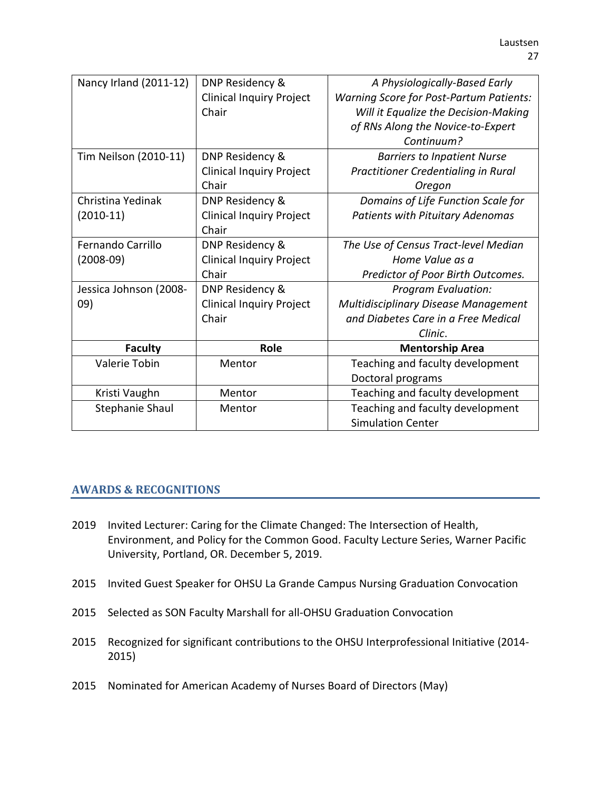| Nancy Irland (2011-12) | DNP Residency &                 | A Physiologically-Based Early                  |
|------------------------|---------------------------------|------------------------------------------------|
|                        | <b>Clinical Inquiry Project</b> | <b>Warning Score for Post-Partum Patients:</b> |
|                        | Chair                           | Will it Equalize the Decision-Making           |
|                        |                                 | of RNs Along the Novice-to-Expert              |
|                        |                                 | Continuum?                                     |
| Tim Neilson (2010-11)  | DNP Residency &                 | <b>Barriers to Inpatient Nurse</b>             |
|                        | <b>Clinical Inquiry Project</b> | Practitioner Credentialing in Rural            |
|                        | Chair                           | Oregon                                         |
| Christina Yedinak      | DNP Residency &                 | Domains of Life Function Scale for             |
| $(2010-11)$            | <b>Clinical Inquiry Project</b> | Patients with Pituitary Adenomas               |
|                        | Chair                           |                                                |
| Fernando Carrillo      | DNP Residency &                 | The Use of Census Tract-level Median           |
| $(2008-09)$            | <b>Clinical Inquiry Project</b> | Home Value as a                                |
|                        | Chair                           | Predictor of Poor Birth Outcomes.              |
| Jessica Johnson (2008- | DNP Residency &                 | <b>Program Evaluation:</b>                     |
| 09)                    | <b>Clinical Inquiry Project</b> | Multidisciplinary Disease Management           |
|                        | Chair                           | and Diabetes Care in a Free Medical            |
|                        |                                 | Clinic.                                        |
| <b>Faculty</b>         | Role                            | <b>Mentorship Area</b>                         |
| Valerie Tobin          | Mentor                          | Teaching and faculty development               |
|                        |                                 | Doctoral programs                              |
| Kristi Vaughn          | Mentor                          | Teaching and faculty development               |
| Stephanie Shaul        | Mentor                          | Teaching and faculty development               |
|                        |                                 | <b>Simulation Center</b>                       |

# **AWARDS & RECOGNITIONS**

- 2019 Invited Lecturer: Caring for the Climate Changed: The Intersection of Health, Environment, and Policy for the Common Good. Faculty Lecture Series, Warner Pacific University, Portland, OR. December 5, 2019.
- 2015 Invited Guest Speaker for OHSU La Grande Campus Nursing Graduation Convocation
- 2015 Selected as SON Faculty Marshall for all-OHSU Graduation Convocation
- 2015 Recognized for significant contributions to the OHSU Interprofessional Initiative (2014- 2015)
- 2015 Nominated for American Academy of Nurses Board of Directors (May)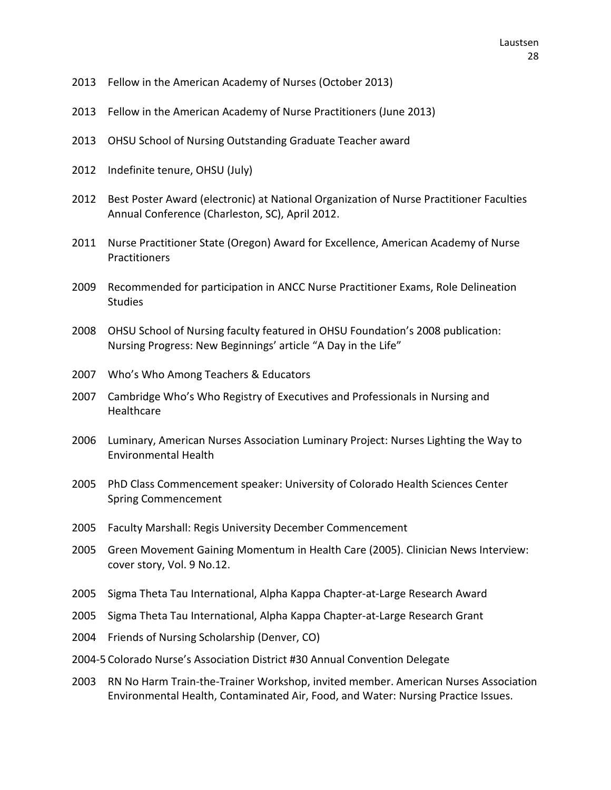- Fellow in the American Academy of Nurses (October 2013)
- Fellow in the American Academy of Nurse Practitioners (June 2013)
- OHSU School of Nursing Outstanding Graduate Teacher award
- Indefinite tenure, OHSU (July)
- Best Poster Award (electronic) at National Organization of Nurse Practitioner Faculties Annual Conference (Charleston, SC), April 2012.
- Nurse Practitioner State (Oregon) Award for Excellence, American Academy of Nurse **Practitioners**
- Recommended for participation in ANCC Nurse Practitioner Exams, Role Delineation **Studies**
- OHSU School of Nursing faculty featured in OHSU Foundation's 2008 publication: Nursing Progress: New Beginnings' article "A Day in the Life"
- Who's Who Among Teachers & Educators
- Cambridge Who's Who Registry of Executives and Professionals in Nursing and **Healthcare**
- Luminary, American Nurses Association Luminary Project: Nurses Lighting the Way to Environmental Health
- PhD Class Commencement speaker: University of Colorado Health Sciences Center Spring Commencement
- Faculty Marshall: Regis University December Commencement
- Green Movement Gaining Momentum in Health Care (2005). Clinician News Interview: cover story, Vol. 9 No.12.
- Sigma Theta Tau International, Alpha Kappa Chapter-at-Large Research Award
- Sigma Theta Tau International, Alpha Kappa Chapter-at-Large Research Grant
- Friends of Nursing Scholarship (Denver, CO)
- 2004-5 Colorado Nurse's Association District #30 Annual Convention Delegate
- RN No Harm Train-the-Trainer Workshop, invited member. American Nurses Association Environmental Health, Contaminated Air, Food, and Water: Nursing Practice Issues.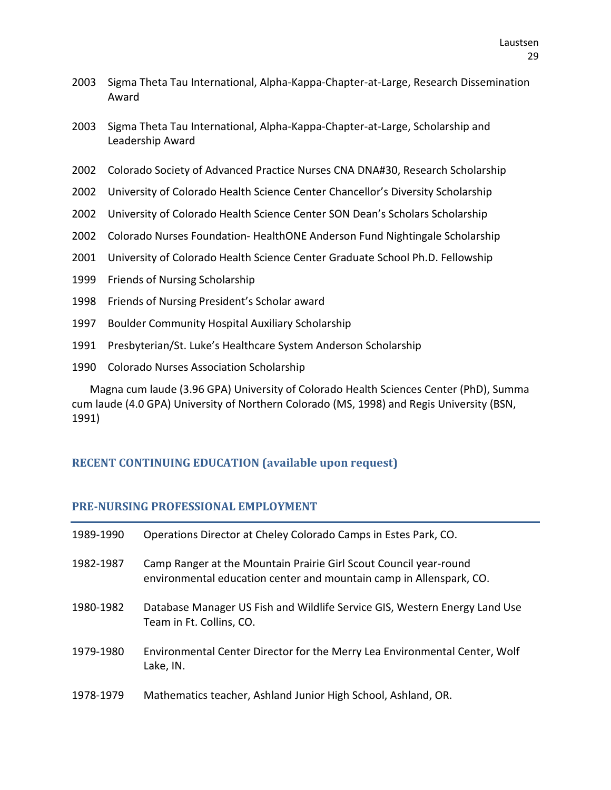- 2003 Sigma Theta Tau International, Alpha-Kappa-Chapter-at-Large, Research Dissemination Award
- 2003 Sigma Theta Tau International, Alpha-Kappa-Chapter-at-Large, Scholarship and Leadership Award
- 2002 Colorado Society of Advanced Practice Nurses CNA DNA#30, Research Scholarship
- 2002 University of Colorado Health Science Center Chancellor's Diversity Scholarship
- 2002 University of Colorado Health Science Center SON Dean's Scholars Scholarship
- 2002 Colorado Nurses Foundation- HealthONE Anderson Fund Nightingale Scholarship
- 2001 University of Colorado Health Science Center Graduate School Ph.D. Fellowship
- 1999 Friends of Nursing Scholarship
- 1998 Friends of Nursing President's Scholar award
- 1997 Boulder Community Hospital Auxiliary Scholarship
- 1991 Presbyterian/St. Luke's Healthcare System Anderson Scholarship
- 1990 Colorado Nurses Association Scholarship

Magna cum laude (3.96 GPA) University of Colorado Health Sciences Center (PhD), Summa cum laude (4.0 GPA) University of Northern Colorado (MS, 1998) and Regis University (BSN, 1991)

### **RECENT CONTINUING EDUCATION (available upon request)**

#### **PRE-NURSING PROFESSIONAL EMPLOYMENT**

| 1989-1990 | Operations Director at Cheley Colorado Camps in Estes Park, CO.                                                                          |
|-----------|------------------------------------------------------------------------------------------------------------------------------------------|
| 1982-1987 | Camp Ranger at the Mountain Prairie Girl Scout Council year-round<br>environmental education center and mountain camp in Allenspark, CO. |
| 1980-1982 | Database Manager US Fish and Wildlife Service GIS, Western Energy Land Use<br>Team in Ft. Collins, CO.                                   |
| 1979-1980 | Environmental Center Director for the Merry Lea Environmental Center, Wolf<br>Lake, IN.                                                  |
| 1978-1979 | Mathematics teacher, Ashland Junior High School, Ashland, OR.                                                                            |